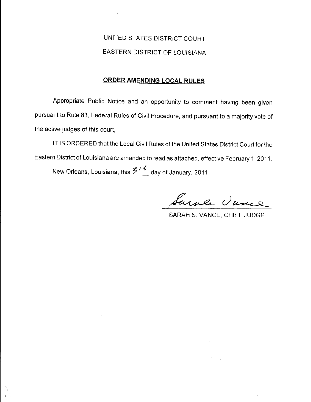# UNITED STATES DISTRICT COURT EASTERN DISTRICT OF LOUISIANA

# ORDER AMENDING LOCAL RULES

Appropriate Public Notice and an opportunity to comment having been given pursuant to Rule 83, Federal Rules of Civil Procedure, and pursuant to a majority vote of the active judges of this court.

IT IS ORDERED that the Local Civil Rules of the United States District Court for the Eastern District of Louisiana are amended to read as attached, effective February 1, 2011.

New Orleans, Louisiana, this  $\frac{Z^{nd}}{z^{nd}}$  day of January, 2011.

Sarver Vance

SARAH S. VANCE, CHIEF JUDGE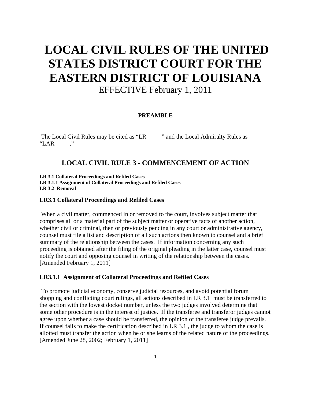# **LOCAL CIVIL RULES OF THE UNITED STATES DISTRICT COURT FOR THE EASTERN DISTRICT OF LOUISIANA**

EFFECTIVE February 1, 2011

# **PREAMBLE**

 The Local Civil Rules may be cited as "LR\_\_\_\_\_" and the Local Admiralty Rules as  $"LAR$  ."

# **LOCAL CIVIL RULE 3 - COMMENCEMENT OF ACTION**

**LR 3.1 Collateral Proceedings and Refiled Cases LR 3.1.1 Assignment of Collateral Proceedings and Refiled Cases LR 3.2 Removal** 

#### **LR3.1 Collateral Proceedings and Refiled Cases**

 When a civil matter, commenced in or removed to the court, involves subject matter that comprises all or a material part of the subject matter or operative facts of another action, whether civil or criminal, then or previously pending in any court or administrative agency, counsel must file a list and description of all such actions then known to counsel and a brief summary of the relationship between the cases. If information concerning any such proceeding is obtained after the filing of the original pleading in the latter case, counsel must notify the court and opposing counsel in writing of the relationship between the cases. [Amended February 1, 2011]

# **LR3.1.1 Assignment of Collateral Proceedings and Refiled Cases**

 To promote judicial economy, conserve judicial resources, and avoid potential forum shopping and conflicting court rulings, all actions described in LR 3.1 must be transferred to the section with the lowest docket number, unless the two judges involved determine that some other procedure is in the interest of justice. If the transferee and transferor judges cannot agree upon whether a case should be transferred, the opinion of the transferee judge prevails. If counsel fails to make the certification described in LR 3.1 , the judge to whom the case is allotted must transfer the action when he or she learns of the related nature of the proceedings. [Amended June 28, 2002; February 1, 2011]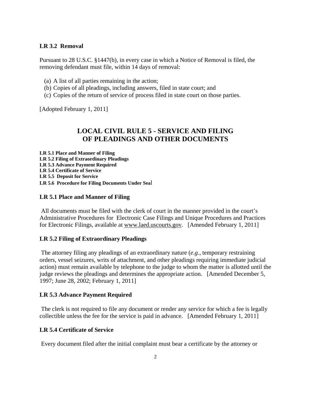# **LR 3.2 Removal**

Pursuant to 28 U.S.C. §1447(b), in every case in which a Notice of Removal is filed, the removing defendant must file, within 14 days of removal:

- (a) A list of all parties remaining in the action;
- (b) Copies of all pleadings, including answers, filed in state court; and
- (c) Copies of the return of service of process filed in state court on those parties.

[Adopted February 1, 2011]

# **LOCAL CIVIL RULE 5 - SERVICE AND FILING OF PLEADINGS AND OTHER DOCUMENTS**

**LR 5.1 Place and Manner of Filing LR 5.2 Filing of Extraordinary Pleadings LR 5.3 Advance Payment Required LR 5.4 Certificate of Service LR 5.5 Deposit for Service LR 5.6 Procedure for Filing Documents Under Sea**l

#### **LR 5.1 Place and Manner of Filing**

 All documents must be filed with the clerk of court in the manner provided in the court's Administrative Procedures for Electronic Case Filings and Unique Procedures and Practices for Electronic Filings, available at www.laed.uscourts.gov. [Amended February 1, 2011]

## **LR 5.2 Filing of Extraordinary Pleadings**

 The attorney filing any pleadings of an extraordinary nature (*e.g.*, temporary restraining orders, vessel seizures, writs of attachment, and other pleadings requiring immediate judicial action) must remain available by telephone to the judge to whom the matter is allotted until the judge reviews the pleadings and determines the appropriate action. [Amended December 5, 1997; June 28, 2002; February 1, 2011]

#### **LR 5.3 Advance Payment Required**

 The clerk is not required to file any document or render any service for which a fee is legally collectible unless the fee for the service is paid in advance. [Amended February 1, 2011]

#### **LR 5.4 Certificate of Service**

Every document filed after the initial complaint must bear a certificate by the attorney or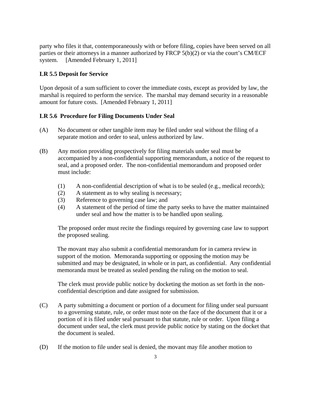party who files it that, contemporaneously with or before filing, copies have been served on all parties or their attorneys in a manner authorized by FRCP 5(b)(2) or via the court's CM/ECF system. [Amended February 1, 2011]

# **LR 5.5 Deposit for Service**

Upon deposit of a sum sufficient to cover the immediate costs, except as provided by law, the marshal is required to perform the service. The marshal may demand security in a reasonable amount for future costs. [Amended February 1, 2011]

## **LR 5.6 Procedure for Filing Documents Under Seal**

- (A) No document or other tangible item may be filed under seal without the filing of a separate motion and order to seal, unless authorized by law.
- (B) Any motion providing prospectively for filing materials under seal must be accompanied by a non-confidential supporting memorandum, a notice of the request to seal, and a proposed order. The non-confidential memorandum and proposed order must include:
	- (1) A non-confidential description of what is to be sealed (e.g., medical records);
	- (2) A statement as to why sealing is necessary;
	- (3) Reference to governing case law; and
	- (4) A statement of the period of time the party seeks to have the matter maintained under seal and how the matter is to be handled upon sealing.

The proposed order must recite the findings required by governing case law to support the proposed sealing.

The movant may also submit a confidential memorandum for in camera review in support of the motion. Memoranda supporting or opposing the motion may be submitted and may be designated, in whole or in part, as confidential. Any confidential memoranda must be treated as sealed pending the ruling on the motion to seal.

The clerk must provide public notice by docketing the motion as set forth in the nonconfidential description and date assigned for submission.

- (C) A party submitting a document or portion of a document for filing under seal pursuant to a governing statute, rule, or order must note on the face of the document that it or a portion of it is filed under seal pursuant to that statute, rule or order. Upon filing a document under seal, the clerk must provide public notice by stating on the docket that the document is sealed.
- (D) If the motion to file under seal is denied, the movant may file another motion to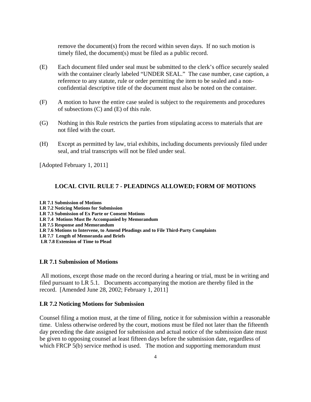remove the document(s) from the record within seven days. If no such motion is timely filed, the document(s) must be filed as a public record.

- (E) Each document filed under seal must be submitted to the clerk's office securely sealed with the container clearly labeled "UNDER SEAL." The case number, case caption, a reference to any statute, rule or order permitting the item to be sealed and a nonconfidential descriptive title of the document must also be noted on the container.
- (F) A motion to have the entire case sealed is subject to the requirements and procedures of subsections (C) and (E) of this rule.
- (G) Nothing in this Rule restricts the parties from stipulating access to materials that are not filed with the court.
- (H) Except as permitted by law, trial exhibits, including documents previously filed under seal, and trial transcripts will not be filed under seal.

[Adopted February 1, 2011]

#### **LOCAL CIVIL RULE 7 - PLEADINGS ALLOWED; FORM OF MOTIONS**

**LR 7.1 Submission of Motions LR 7.2 Noticing Motions for Submission LR 7.3 Submission of Ex Parte or Consent Motions LR 7.4 Motions Must Be Accompanied by Memorandum LR 7.5 Response and Memorandum LR 7.6 Motions to Intervene, to Amend Pleadings and to File Third-Party Complaints LR 7.7 Length of Memoranda and Briefs LR 7.8 Extension of Time to Plead** 

#### **LR 7.1 Submission of Motions**

 All motions, except those made on the record during a hearing or trial, must be in writing and filed pursuant to LR 5.1. Documents accompanying the motion are thereby filed in the record. [Amended June 28, 2002; February 1, 2011]

#### **LR 7.2 Noticing Motions for Submission**

Counsel filing a motion must, at the time of filing, notice it for submission within a reasonable time. Unless otherwise ordered by the court, motions must be filed not later than the fifteenth day preceding the date assigned for submission and actual notice of the submission date must be given to opposing counsel at least fifteen days before the submission date, regardless of which FRCP 5(b) service method is used. The motion and supporting memorandum must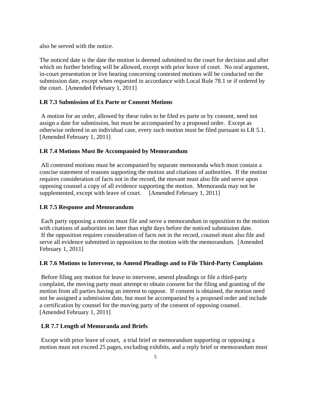also be served with the notice.

The noticed date is the date the motion is deemed submitted to the court for decision and after which no further briefing will be allowed, except with prior leave of court. No oral argument, in-court presentation or live hearing concerning contested motions will be conducted on the submission date, except when requested in accordance with Local Rule 78.1 or if ordered by the court. [Amended February 1, 2011]

# **LR 7.3 Submission of Ex Parte or Consent Motions**

 A motion for an order, allowed by these rules to be filed ex parte or by consent, need not assign a date for submission, but must be accompanied by a proposed order. Except as otherwise ordered in an individual case, every such motion must be filed pursuant to LR 5.1. [Amended February 1, 2011]

# **LR 7.4 Motions Must Be Accompanied by Memorandum**

 All contested motions must be accompanied by separate memoranda which must contain a concise statement of reasons supporting the motion and citations of authorities. If the motion requires consideration of facts not in the record, the movant must also file and serve upon opposing counsel a copy of all evidence supporting the motion. Memoranda may not be supplemented, except with leave of court. [Amended February 1, 2011]

## **LR 7.5 Response and Memorandum**

 Each party opposing a motion must file and serve a memorandum in opposition to the motion with citations of authorities no later than eight days before the noticed submission date. If the opposition requires consideration of facts not in the record, counsel must also file and serve all evidence submitted in opposition to the motion with the memorandum. [Amended February 1, 2011]

## **LR 7.6 Motions to Intervene, to Amend Pleadings and to File Third-Party Complaints**

 Before filing any motion for leave to intervene, amend pleadings or file a third-party complaint, the moving party must attempt to obtain consent for the filing and granting of the motion from all parties having an interest to oppose. If consent is obtained, the motion need not be assigned a submission date, but must be accompanied by a proposed order and include a certification by counsel for the moving party of the consent of opposing counsel. [Amended February 1, 2011]

## **LR 7.7 Length of Memoranda and Briefs**

 Except with prior leave of court, a trial brief or memorandum supporting or opposing a motion must not exceed 25 pages, excluding exhibits, and a reply brief or memorandum must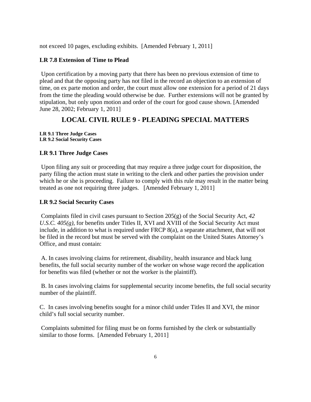not exceed 10 pages, excluding exhibits. [Amended February 1, 2011]

# **LR 7.8 Extension of Time to Plead**

 Upon certification by a moving party that there has been no previous extension of time to plead and that the opposing party has not filed in the record an objection to an extension of time, on ex parte motion and order, the court must allow one extension for a period of 21 days from the time the pleading would otherwise be due. Further extensions will not be granted by stipulation, but only upon motion and order of the court for good cause shown. [Amended June 28, 2002; February 1, 2011]

# **LOCAL CIVIL RULE 9 - PLEADING SPECIAL MATTERS**

**LR 9.1 Three Judge Cases LR 9.2 Social Security Cases** 

# **LR 9.1 Three Judge Cases**

 Upon filing any suit or proceeding that may require a three judge court for disposition, the party filing the action must state in writing to the clerk and other parties the provision under which he or she is proceeding. Failure to comply with this rule may result in the matter being treated as one not requiring three judges. [Amended February 1, 2011]

# **LR 9.2 Social Security Cases**

 Complaints filed in civil cases pursuant to Section 205(g) of the Social Security Act, *42 U.S.C. 405(g)*, for benefits under Titles II, XVI and XVIII of the Social Security Act must include, in addition to what is required under FRCP 8(a), a separate attachment, that will not be filed in the record but must be served with the complaint on the United States Attorney's Office, and must contain:

 A. In cases involving claims for retirement, disability, health insurance and black lung benefits, the full social security number of the worker on whose wage record the application for benefits was filed (whether or not the worker is the plaintiff).

 B. In cases involving claims for supplemental security income benefits, the full social security number of the plaintiff.

C. In cases involving benefits sought for a minor child under Titles II and XVI, the minor child's full social security number.

 Complaints submitted for filing must be on forms furnished by the clerk or substantially similar to those forms. [Amended February 1, 2011]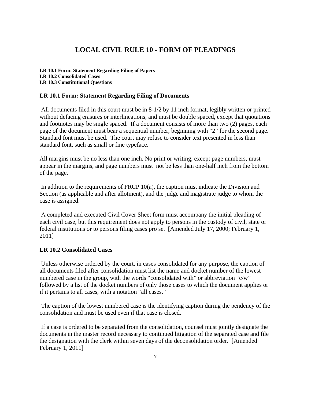# **LOCAL CIVIL RULE 10 - FORM OF PLEADINGS**

**LR 10.1 Form: Statement Regarding Filing of Papers LR 10.2 Consolidated Cases LR 10.3 Constitutional Questions** 

## **LR 10.1 Form: Statement Regarding Filing of Documents**

 All documents filed in this court must be in 8-1/2 by 11 inch format, legibly written or printed without defacing erasures or interlineations, and must be double spaced, except that quotations and footnotes may be single spaced. If a document consists of more than two (2) pages, each page of the document must bear a sequential number, beginning with "2" for the second page. Standard font must be used. The court may refuse to consider text presented in less than standard font, such as small or fine typeface.

All margins must be no less than one inch. No print or writing, except page numbers, must appear in the margins, and page numbers must not be less than one-half inch from the bottom of the page.

In addition to the requirements of FRCP 10(a), the caption must indicate the Division and Section (as applicable and after allotment), and the judge and magistrate judge to whom the case is assigned.

 A completed and executed Civil Cover Sheet form must accompany the initial pleading of each civil case, but this requirement does not apply to persons in the custody of civil, state or federal institutions or to persons filing cases pro se. [Amended July 17, 2000; February 1, 2011]

# **LR 10.2 Consolidated Cases**

 Unless otherwise ordered by the court, in cases consolidated for any purpose, the caption of all documents filed after consolidation must list the name and docket number of the lowest numbered case in the group, with the words "consolidated with" or abbreviation "c/w" followed by a list of the docket numbers of only those cases to which the document applies or if it pertains to all cases, with a notation "all cases."

 The caption of the lowest numbered case is the identifying caption during the pendency of the consolidation and must be used even if that case is closed.

 If a case is ordered to be separated from the consolidation, counsel must jointly designate the documents in the master record necessary to continued litigation of the separated case and file the designation with the clerk within seven days of the deconsolidation order. [Amended February 1, 2011]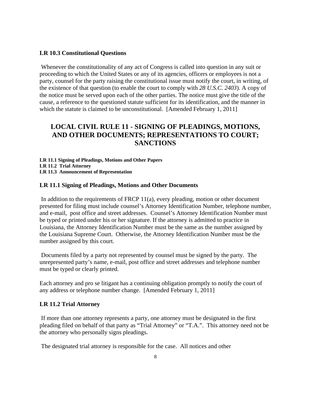#### **LR 10.3 Constitutional Questions**

 Whenever the constitutionality of any act of Congress is called into question in any suit or proceeding to which the United States or any of its agencies, officers or employees is not a party, counsel for the party raising the constitutional issue must notify the court, in writing, of the existence of that question (to enable the court to comply with *28 U.S.C. 2403*). A copy of the notice must be served upon each of the other parties. The notice must give the title of the cause, a reference to the questioned statute sufficient for its identification, and the manner in which the statute is claimed to be unconstitutional. [Amended February 1, 2011]

# **LOCAL CIVIL RULE 11 - SIGNING OF PLEADINGS, MOTIONS, AND OTHER DOCUMENTS; REPRESENTATIONS TO COURT; SANCTIONS**

**LR 11.1 Signing of Pleadings, Motions and Other Papers LR 11.2 Trial Attorney LR 11.3 Announcement of Representation** 

#### **LR 11.1 Signing of Pleadings, Motions and Other Documents**

In addition to the requirements of FRCP  $11(a)$ , every pleading, motion or other document presented for filing must include counsel's Attorney Identification Number, telephone number, and e-mail, post office and street addresses. Counsel's Attorney Identification Number must be typed or printed under his or her signature. If the attorney is admitted to practice in Louisiana, the Attorney Identification Number must be the same as the number assigned by the Louisiana Supreme Court. Otherwise, the Attorney Identification Number must be the number assigned by this court.

 Documents filed by a party not represented by counsel must be signed by the party. The unrepresented party's name, e-mail, post office and street addresses and telephone number must be typed or clearly printed.

Each attorney and pro se litigant has a continuing obligation promptly to notify the court of any address or telephone number change. [Amended February 1, 2011]

# **LR 11.2 Trial Attorney**

 If more than one attorney represents a party, one attorney must be designated in the first pleading filed on behalf of that party as "Trial Attorney" or "T.A.". This attorney need not be the attorney who personally signs pleadings.

The designated trial attorney is responsible for the case. All notices and other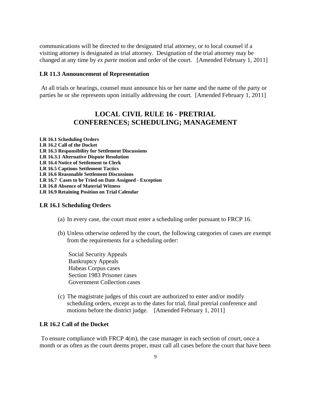communications will be directed to the designated trial attorney, or to local counsel if a visiting attorney is designated as trial attorney. Designation of the trial attorney may be changed at any time by *ex parte* motion and order of the court. [Amended February 1, 2011]

#### **LR 11.3 Announcement of Representation**

 At all trials or hearings, counsel must announce his or her name and the name of the party or parties he or she represents upon initially addressing the court. [Amended February 1, 2011]

# **LOCAL CIVIL RULE 16 - PRETRIAL CONFERENCES; SCHEDULING; MANAGEMENT**

**LR 16.1 Scheduling Orders LR 16.2 Call of the Docket LR 16.3 Responsibility for Settlement Discussions LR 16.3.1 Alternative Dispute Resolution LR 16.4 Notice of Settlement to Clerk LR 16.5 Captious Settlement Tactics LR 16.6 Reasonable Settlement Discussions LR 16.7 Cases to be Tried on Date Assigned - Exception LR 16.8 Absence of Material Witness LR 16.9 Retaining Position on Trial Calendar** 

#### **LR 16.1 Scheduling Orders**

- (a) In every case, the court must enter a scheduling order pursuant to FRCP 16.
- (b) Unless otherwise ordered by the court, the following categories of cases are exempt from the requirements for a scheduling order:

 Social Security Appeals Bankruptcy Appeals Habeas Corpus cases Section 1983 Prisoner cases Government Collection cases

(c) The magistrate judges of this court are authorized to enter and/or modify scheduling orders, except as to the dates for trial, final pretrial conference and motions before the district judge. [Amended February 1, 2011]

# **LR 16.2 Call of the Docket**

 To ensure compliance with FRCP 4(m), the case manager in each section of court, once a month or as often as the court deems proper, must call all cases before the court that have been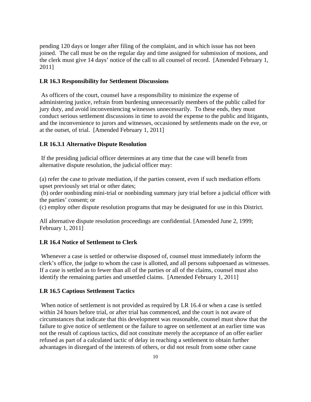pending 120 days or longer after filing of the complaint, and in which issue has not been joined. The call must be on the regular day and time assigned for submission of motions, and the clerk must give 14 days' notice of the call to all counsel of record. [Amended February 1, 2011]

#### **LR 16.3 Responsibility for Settlement Discussions**

 As officers of the court, counsel have a responsibility to minimize the expense of administering justice, refrain from burdening unnecessarily members of the public called for jury duty, and avoid inconveniencing witnesses unnecessarily. To these ends, they must conduct serious settlement discussions in time to avoid the expense to the public and litigants, and the inconvenience to jurors and witnesses, occasioned by settlements made on the eve, or at the outset, of trial. [Amended February 1, 2011]

#### **LR 16.3.1 Alternative Dispute Resolution**

 If the presiding judicial officer determines at any time that the case will benefit from alternative dispute resolution, the judicial officer may:

(a) refer the case to private mediation, if the parties consent, even if such mediation efforts upset previously set trial or other dates;

 (b) order nonbinding mini-trial or nonbinding summary jury trial before a judicial officer with the parties' consent; or

(c) employ other dispute resolution programs that may be designated for use in this District.

All alternative dispute resolution proceedings are confidential. [Amended June 2, 1999; February 1, 2011]

## **LR 16.4 Notice of Settlement to Clerk**

 Whenever a case is settled or otherwise disposed of, counsel must immediately inform the clerk's office, the judge to whom the case is allotted, and all persons subpoenaed as witnesses. If a case is settled as to fewer than all of the parties or all of the claims, counsel must also identify the remaining parties and unsettled claims. [Amended February 1, 2011]

#### **LR 16.5 Captious Settlement Tactics**

When notice of settlement is not provided as required by LR 16.4 or when a case is settled within 24 hours before trial, or after trial has commenced, and the court is not aware of circumstances that indicate that this development was reasonable, counsel must show that the failure to give notice of settlement or the failure to agree on settlement at an earlier time was not the result of captious tactics, did not constitute merely the acceptance of an offer earlier refused as part of a calculated tactic of delay in reaching a settlement to obtain further advantages in disregard of the interests of others, or did not result from some other cause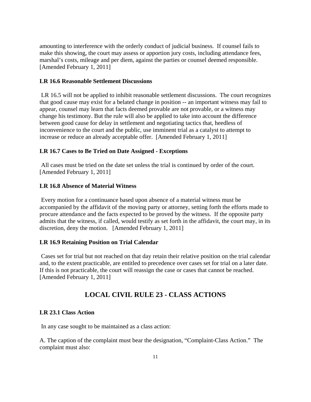amounting to interference with the orderly conduct of judicial business. If counsel fails to make this showing, the court may assess or apportion jury costs, including attendance fees, marshal's costs, mileage and per diem, against the parties or counsel deemed responsible. [Amended February 1, 2011]

# **LR 16.6 Reasonable Settlement Discussions**

LR 16.5 will not be applied to inhibit reasonable settlement discussions. The court recognizes that good cause may exist for a belated change in position -- an important witness may fail to appear, counsel may learn that facts deemed provable are not provable, or a witness may change his testimony. But the rule will also be applied to take into account the difference between good cause for delay in settlement and negotiating tactics that, heedless of inconvenience to the court and the public, use imminent trial as a catalyst to attempt to increase or reduce an already acceptable offer. [Amended February 1, 2011]

## **LR 16.7 Cases to Be Tried on Date Assigned - Exceptions**

 All cases must be tried on the date set unless the trial is continued by order of the court. [Amended February 1, 2011]

### **LR 16.8 Absence of Material Witness**

 Every motion for a continuance based upon absence of a material witness must be accompanied by the affidavit of the moving party or attorney, setting forth the efforts made to procure attendance and the facts expected to be proved by the witness. If the opposite party admits that the witness, if called, would testify as set forth in the affidavit, the court may, in its discretion, deny the motion. [Amended February 1, 2011]

#### **LR 16.9 Retaining Position on Trial Calendar**

 Cases set for trial but not reached on that day retain their relative position on the trial calendar and, to the extent practicable, are entitled to precedence over cases set for trial on a later date. If this is not practicable, the court will reassign the case or cases that cannot be reached. [Amended February 1, 2011]

# **LOCAL CIVIL RULE 23 - CLASS ACTIONS**

# **LR 23.1 Class Action**

In any case sought to be maintained as a class action:

A. The caption of the complaint must bear the designation, "Complaint-Class Action." The complaint must also: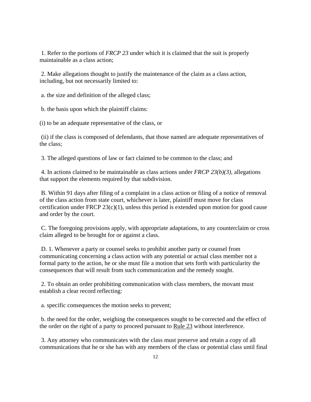1. Refer to the portions of *FRCP 23* under which it is claimed that the suit is properly maintainable as a class action;

 2. Make allegations thought to justify the maintenance of the claim as a class action, including, but not necessarily limited to:

a. the size and definition of the alleged class;

b. the basis upon which the plaintiff claims:

(i) to be an adequate representative of the class, or

 (ii) if the class is composed of defendants, that those named are adequate representatives of the class;

3. The alleged questions of law or fact claimed to be common to the class; and

 4. In actions claimed to be maintainable as class actions under *FRCP 23(b)(3)*, allegations that support the elements required by that subdivision.

 B. Within 91 days after filing of a complaint in a class action or filing of a notice of removal of the class action from state court, whichever is later, plaintiff must move for class certification under FRCP 23(c)(1), unless this period is extended upon motion for good cause and order by the court.

 C. The foregoing provisions apply, with appropriate adaptations, to any counterclaim or cross claim alleged to be brought for or against a class.

 D. 1. Whenever a party or counsel seeks to prohibit another party or counsel from communicating concerning a class action with any potential or actual class member not a formal party to the action, he or she must file a motion that sets forth with particularity the consequences that will result from such communication and the remedy sought.

 2. To obtain an order prohibiting communication with class members, the movant must establish a clear record reflecting:

a. specific consequences the motion seeks to prevent;

 b. the need for the order, weighing the consequences sought to be corrected and the effect of the order on the right of a party to proceed pursuant to Rule 23 without interference.

 3. Any attorney who communicates with the class must preserve and retain a copy of all communications that he or she has with any members of the class or potential class until final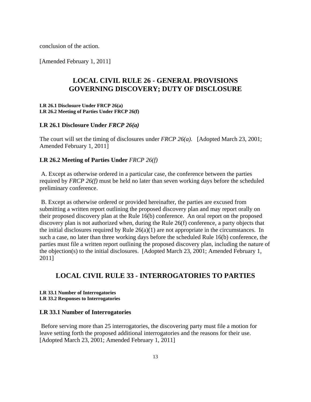conclusion of the action.

[Amended February 1, 2011]

# **LOCAL CIVIL RULE 26 - GENERAL PROVISIONS GOVERNING DISCOVERY; DUTY OF DISCLOSURE**

#### **LR 26.1 Disclosure Under FRCP 26(a) LR 26.2 Meeting of Parties Under FRCP 26(f)**

#### **LR 26.1 Disclosure Under** *FRCP 26(a)*

The court will set the timing of disclosures under *FRCP 26(a).* [Adopted March 23, 2001; Amended February 1, 2011]

## **LR 26.2 Meeting of Parties Under** *FRCP 26(f)*

 A. Except as otherwise ordered in a particular case, the conference between the parties required by *FRCP 26(f)* must be held no later than seven working days before the scheduled preliminary conference.

 B. Except as otherwise ordered or provided hereinafter, the parties are excused from submitting a written report outlining the proposed discovery plan and may report orally on their proposed discovery plan at the Rule 16(b) conference. An oral report on the proposed discovery plan is not authorized when, during the Rule 26(f) conference, a party objects that the initial disclosures required by Rule  $26(a)(1)$  are not appropriate in the circumstances. In such a case, no later than three working days before the scheduled Rule 16(b) conference, the parties must file a written report outlining the proposed discovery plan, including the nature of the objection(s) to the initial disclosures. [Adopted March 23, 2001; Amended February 1, 2011]

# **LOCAL CIVIL RULE 33 - INTERROGATORIES TO PARTIES**

# **LR 33.1 Number of Interrogatories**

**LR 33.2 Responses to Interrogatories** 

#### **LR 33.1 Number of Interrogatories**

 Before serving more than 25 interrogatories, the discovering party must file a motion for leave setting forth the proposed additional interrogatories and the reasons for their use. [Adopted March 23, 2001; Amended February 1, 2011]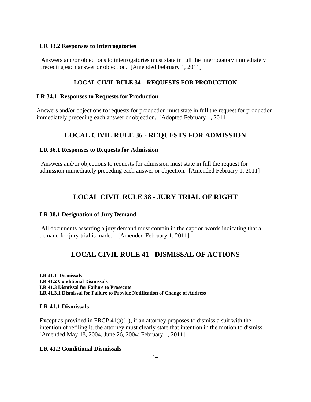## **LR 33.2 Responses to Interrogatories**

 Answers and/or objections to interrogatories must state in full the interrogatory immediately preceding each answer or objection. [Amended February 1, 2011]

#### **LOCAL CIVIL RULE 34 – REQUESTS FOR PRODUCTION**

#### **LR 34.1 Responses to Requests for Production**

Answers and/or objections to requests for production must state in full the request for production immediately preceding each answer or objection. [Adopted February 1, 2011]

# **LOCAL CIVIL RULE 36 - REQUESTS FOR ADMISSION**

#### **LR 36.1 Responses to Requests for Admission**

 Answers and/or objections to requests for admission must state in full the request for admission immediately preceding each answer or objection. [Amended February 1, 2011]

# **LOCAL CIVIL RULE 38 - JURY TRIAL OF RIGHT**

#### **LR 38.1 Designation of Jury Demand**

 All documents asserting a jury demand must contain in the caption words indicating that a demand for jury trial is made. [Amended February 1, 2011]

# **LOCAL CIVIL RULE 41 - DISMISSAL OF ACTIONS**

**LR 41.1 Dismissals LR 41.2 Conditional Dismissals LR 41.3 Dismissal for Failure to Prosecute LR 41.3.1 Dismissal for Failure to Provide Notification of Change of Address** 

#### **LR 41.1 Dismissals**

Except as provided in FRCP  $41(a)(1)$ , if an attorney proposes to dismiss a suit with the intention of refiling it, the attorney must clearly state that intention in the motion to dismiss. [Amended May 18, 2004, June 26, 2004; February 1, 2011]

# **LR 41.2 Conditional Dismissals**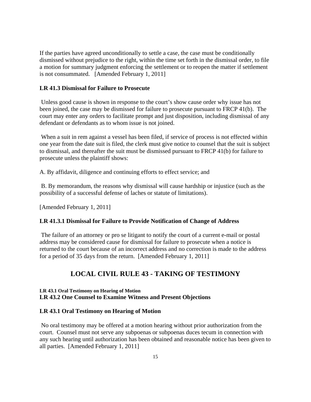If the parties have agreed unconditionally to settle a case, the case must be conditionally dismissed without prejudice to the right, within the time set forth in the dismissal order, to file a motion for summary judgment enforcing the settlement or to reopen the matter if settlement is not consummated. [Amended February 1, 2011]

#### **LR 41.3 Dismissal for Failure to Prosecute**

 Unless good cause is shown in response to the court's show cause order why issue has not been joined, the case may be dismissed for failure to prosecute pursuant to FRCP 41(b). The court may enter any orders to facilitate prompt and just disposition, including dismissal of any defendant or defendants as to whom issue is not joined.

 When a suit in rem against a vessel has been filed, if service of process is not effected within one year from the date suit is filed, the clerk must give notice to counsel that the suit is subject to dismissal, and thereafter the suit must be dismissed pursuant to FRCP 41(b) for failure to prosecute unless the plaintiff shows:

A. By affidavit, diligence and continuing efforts to effect service; and

 B. By memorandum, the reasons why dismissal will cause hardship or injustice (such as the possibility of a successful defense of laches or statute of limitations).

[Amended February 1, 2011]

## **LR 41.3.1 Dismissal for Failure to Provide Notification of Change of Address**

 The failure of an attorney or pro se litigant to notify the court of a current e-mail or postal address may be considered cause for dismissal for failure to prosecute when a notice is returned to the court because of an incorrect address and no correction is made to the address for a period of 35 days from the return. [Amended February 1, 2011]

# **LOCAL CIVIL RULE 43 - TAKING OF TESTIMONY**

# **LR 43.1 Oral Testimony on Hearing of Motion LR 43.2 One Counsel to Examine Witness and Present Objections**

#### **LR 43.1 Oral Testimony on Hearing of Motion**

 No oral testimony may be offered at a motion hearing without prior authorization from the court. Counsel must not serve any subpoenas or subpoenas duces tecum in connection with any such hearing until authorization has been obtained and reasonable notice has been given to all parties. [Amended February 1, 2011]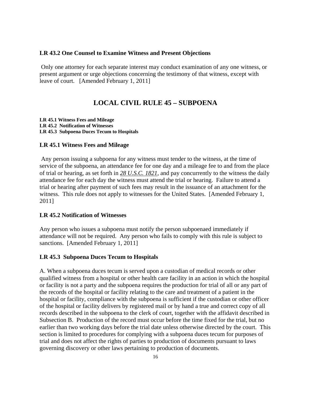#### **LR 43.2 One Counsel to Examine Witness and Present Objections**

 Only one attorney for each separate interest may conduct examination of any one witness, or present argument or urge objections concerning the testimony of that witness, except with leave of court. [Amended February 1, 2011]

# **LOCAL CIVIL RULE 45 – SUBPOENA**

**LR 45.1 Witness Fees and Mileage LR 45.2 Notification of Witnesses LR 45.3 Subpoena Duces Tecum to Hospitals** 

## **LR 45.1 Witness Fees and Mileage**

 Any person issuing a subpoena for any witness must tender to the witness, at the time of service of the subpoena, an attendance fee for one day and a mileage fee to and from the place of trial or hearing, as set forth in *28 U.S.C. 1821*, and pay concurrently to the witness the daily attendance fee for each day the witness must attend the trial or hearing. Failure to attend a trial or hearing after payment of such fees may result in the issuance of an attachment for the witness. This rule does not apply to witnesses for the United States. [Amended February 1, 2011]

# **LR 45.2 Notification of Witnesses**

Any person who issues a subpoena must notify the person subpoenaed immediately if attendance will not be required. Any person who fails to comply with this rule is subject to sanctions. [Amended February 1, 2011]

#### **LR 45.3 Subpoena Duces Tecum to Hospitals**

A. When a subpoena duces tecum is served upon a custodian of medical records or other qualified witness from a hospital or other health care facility in an action in which the hospital or facility is not a party and the subpoena requires the production for trial of all or any part of the records of the hospital or facility relating to the care and treatment of a patient in the hospital or facility, compliance with the subpoena is sufficient if the custodian or other officer of the hospital or facility delivers by registered mail or by hand a true and correct copy of all records described in the subpoena to the clerk of court, together with the affidavit described in Subsection B. Production of the record must occur before the time fixed for the trial, but no earlier than two working days before the trial date unless otherwise directed by the court. This section is limited to procedures for complying with a subpoena duces tecum for purposes of trial and does not affect the rights of parties to production of documents pursuant to laws governing discovery or other laws pertaining to production of documents.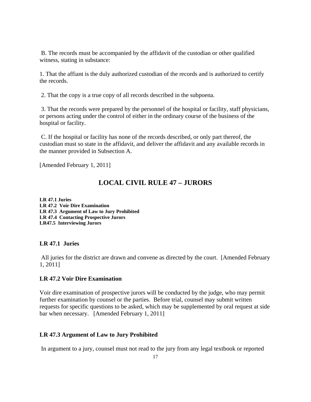B. The records must be accompanied by the affidavit of the custodian or other qualified witness, stating in substance:

1. That the affiant is the duly authorized custodian of the records and is authorized to certify the records.

2. That the copy is a true copy of all records described in the subpoena.

 3. That the records were prepared by the personnel of the hospital or facility, staff physicians, or persons acting under the control of either in the ordinary course of the business of the hospital or facility.

 C. If the hospital or facility has none of the records described, or only part thereof, the custodian must so state in the affidavit, and deliver the affidavit and any available records in the manner provided in Subsection A.

[Amended February 1, 2011]

# **LOCAL CIVIL RULE 47 – JURORS**

**LR 47.1 Juries LR 47.2 Voir Dire Examination LR 47.3 Argument of Law to Jury Prohibited LR 47.4 Contacting Prospective Jurors LR47.5 Interviewing Jurors** 

# **LR 47.1 Juries**

 All juries for the district are drawn and convene as directed by the court. [Amended February 1, 2011]

#### **LR 47.2 Voir Dire Examination**

Voir dire examination of prospective jurors will be conducted by the judge, who may permit further examination by counsel or the parties. Before trial, counsel may submit written requests for specific questions to be asked, which may be supplemented by oral request at side bar when necessary. [Amended February 1, 2011]

# **LR 47.3 Argument of Law to Jury Prohibited**

In argument to a jury, counsel must not read to the jury from any legal textbook or reported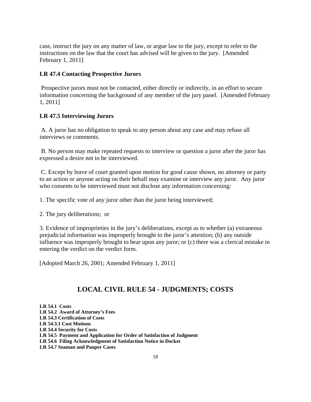case, instruct the jury on any matter of law, or argue law to the jury, except to refer to the instructions on the law that the court has advised will be given to the jury. [Amended February 1, 2011]

# **LR 47.4 Contacting Prospective Jurors**

 Prospective jurors must not be contacted, either directly or indirectly, in an effort to secure information concerning the background of any member of the jury panel. [Amended February 1, 2011]

## **LR 47.5 Interviewing Jurors**

 A. A juror has no obligation to speak to any person about any case and may refuse all interviews or comments.

 B. No person may make repeated requests to interview or question a juror after the juror has expressed a desire not to be interviewed.

 C. Except by leave of court granted upon motion for good cause shown, no attorney or party to an action or anyone acting on their behalf may examine or interview any juror. Any juror who consents to be interviewed must not disclose any information concerning:

1. The specific vote of any juror other than the juror being interviewed;

2. The jury deliberations; or

3. Evidence of improprieties in the jury's deliberations, except as to whether (a) extraneous prejudicial information was improperly brought to the juror's attention; (b) any outside influence was improperly brought to bear upon any juror; or (c) there was a clerical mistake in entering the verdict on the verdict form.

[Adopted March 26, 2001; Amended February 1, 2011]

# **LOCAL CIVIL RULE 54 - JUDGMENTS; COSTS**

**LR 54.1 Costs LR 54.2 Award of Attorney's Fees LR 54.3 Certification of Costs LR 54.3.1 Cost Motions LR 54.4 Security for Costs LR 54.5 Payment and Application for Order of Satisfaction of Judgment LR 54.6 Filing Acknowledgment of Satisfaction Notice in Docket LR 54.7 Seaman and Pauper Cases**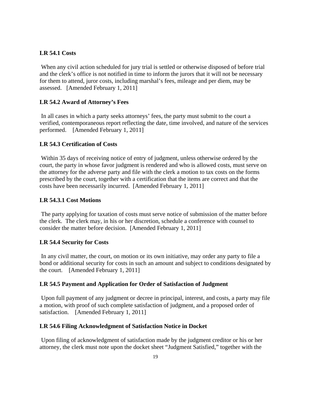# **LR 54.1 Costs**

 When any civil action scheduled for jury trial is settled or otherwise disposed of before trial and the clerk's office is not notified in time to inform the jurors that it will not be necessary for them to attend, juror costs, including marshal's fees, mileage and per diem, may be assessed. [Amended February 1, 2011]

# **LR 54.2 Award of Attorney's Fees**

 In all cases in which a party seeks attorneys' fees, the party must submit to the court a verified, contemporaneous report reflecting the date, time involved, and nature of the services performed. [Amended February 1, 2011]

## **LR 54.3 Certification of Costs**

 Within 35 days of receiving notice of entry of judgment, unless otherwise ordered by the court, the party in whose favor judgment is rendered and who is allowed costs, must serve on the attorney for the adverse party and file with the clerk a motion to tax costs on the forms prescribed by the court, together with a certification that the items are correct and that the costs have been necessarily incurred. [Amended February 1, 2011]

# **LR 54.3.1 Cost Motions**

 The party applying for taxation of costs must serve notice of submission of the matter before the clerk. The clerk may, in his or her discretion, schedule a conference with counsel to consider the matter before decision. [Amended February 1, 2011]

## **LR 54.4 Security for Costs**

 In any civil matter, the court, on motion or its own initiative, may order any party to file a bond or additional security for costs in such an amount and subject to conditions designated by the court. [Amended February 1, 2011]

## **LR 54.5 Payment and Application for Order of Satisfaction of Judgment**

 Upon full payment of any judgment or decree in principal, interest, and costs, a party may file a motion, with proof of such complete satisfaction of judgment, and a proposed order of satisfaction. [Amended February 1, 2011]

## **LR 54.6 Filing Acknowledgment of Satisfaction Notice in Docket**

 Upon filing of acknowledgment of satisfaction made by the judgment creditor or his or her attorney, the clerk must note upon the docket sheet "Judgment Satisfied," together with the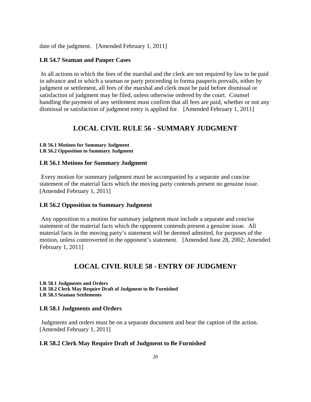date of the judgment. [Amended February 1, 2011]

#### **LR 54.7 Seaman and Pauper Cases**

 In all actions in which the fees of the marshal and the clerk are not required by law to be paid in advance and in which a seaman or party proceeding in forma pauperis prevails, either by judgment or settlement, all fees of the marshal and clerk must be paid before dismissal or satisfaction of judgment may be filed, unless otherwise ordered by the court. Counsel handling the payment of any settlement must confirm that all fees are paid, whether or not any dismissal or satisfaction of judgment entry is applied for. [Amended February 1, 2011]

# **LOCAL CIVIL RULE 56 - SUMMARY JUDGMENT**

#### **LR 56.1 Motions for Summary Judgment LR 56.2 Opposition to Summary Judgment**

## **LR 56.1 Motions for Summary Judgment**

 Every motion for summary judgment must be accompanied by a separate and concise statement of the material facts which the moving party contends present no genuine issue. [Amended February 1, 2011]

#### **LR 56.2 Opposition to Summary Judgment**

 Any opposition to a motion for summary judgment must include a separate and concise statement of the material facts which the opponent contends present a genuine issue. All material facts in the moving party's statement will be deemed admitted, for purposes of the motion, unless controverted in the opponent's statement. [Amended June 28, 2002; Amended February 1, 2011]

# **LOCAL CIVIL RULE 58 - ENTRY OF JUDGMENT**

**LR 58.1 Judgments and Orders LR 58.2 Clerk May Require Draft of Judgment to Be Furnished LR 58.3 Seaman Settlements** 

#### **LR 58.1 Judgments and Orders**

 Judgments and orders must be on a separate document and bear the caption of the action. [Amended February 1, 2011]

#### **LR 58.2 Clerk May Require Draft of Judgment to Be Furnished**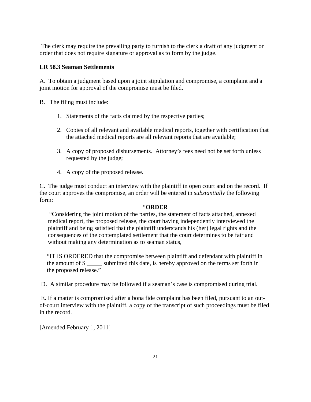The clerk may require the prevailing party to furnish to the clerk a draft of any judgment or order that does not require signature or approval as to form by the judge.

# **LR 58.3 Seaman Settlements**

A. To obtain a judgment based upon a joint stipulation and compromise, a complaint and a joint motion for approval of the compromise must be filed.

B. The filing must include:

- 1. Statements of the facts claimed by the respective parties;
- 2. Copies of all relevant and available medical reports, together with certification that the attached medical reports are all relevant reports that are available;
- 3. A copy of proposed disbursements. Attorney's fees need not be set forth unless requested by the judge;
- 4. A copy of the proposed release.

C. The judge must conduct an interview with the plaintiff in open court and on the record. If the court approves the compromise, an order will be entered in *substantially* the following form:

# "**ORDER**

"Considering the joint motion of the parties, the statement of facts attached, annexed medical report, the proposed release, the court having independently interviewed the plaintiff and being satisfied that the plaintiff understands his (her) legal rights and the consequences of the contemplated settlement that the court determines to be fair and without making any determination as to seaman status,

"IT IS ORDERED that the compromise between plaintiff and defendant with plaintiff in the amount of \$ submitted this date, is hereby approved on the terms set forth in the proposed release."

D. A similar procedure may be followed if a seaman's case is compromised during trial.

 E. If a matter is compromised after a bona fide complaint has been filed, pursuant to an outof-court interview with the plaintiff, a copy of the transcript of such proceedings must be filed in the record.

[Amended February 1, 2011]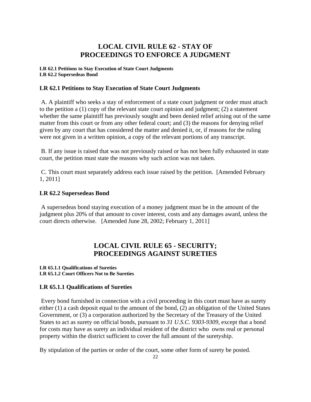# **LOCAL CIVIL RULE 62 - STAY OF PROCEEDINGS TO ENFORCE A JUDGMENT**

#### **LR 62.1 Petitions to Stay Execution of State Court Judgments LR 62.2 Supersedeas Bond**

# **LR 62.1 Petitions to Stay Execution of State Court Judgments**

 A. A plaintiff who seeks a stay of enforcement of a state court judgment or order must attach to the petition a (1) copy of the relevant state court opinion and judgment; (2) a statement whether the same plaintiff has previously sought and been denied relief arising out of the same matter from this court or from any other federal court; and (3) the reasons for denying relief given by any court that has considered the matter and denied it, or, if reasons for the ruling were not given in a written opinion, a copy of the relevant portions of any transcript.

 B. If any issue is raised that was not previously raised or has not been fully exhausted in state court, the petition must state the reasons why such action was not taken.

 C. This court must separately address each issue raised by the petition. [Amended February 1, 2011]

# **LR 62.2 Supersedeas Bond**

 A supersedeas bond staying execution of a money judgment must be in the amount of the judgment plus 20% of that amount to cover interest, costs and any damages award, unless the court directs otherwise. [Amended June 28, 2002; February 1, 2011]

# **LOCAL CIVIL RULE 65 - SECURITY; PROCEEDINGS AGAINST SURETIES**

#### **LR 65.1.1 Qualifications of Sureties LR 65.1.2 Court Officers Not to Be Sureties**

# **LR 65.1.1 Qualifications of Sureties**

 Every bond furnished in connection with a civil proceeding in this court must have as surety either (1) a cash deposit equal to the amount of the bond, (2) an obligation of the United States Government, or (3) a corporation authorized by the Secretary of the Treasury of the United States to act as surety on official bonds, pursuant to *31 U.S.C. 9303*-*9309*, except that a bond for costs may have as surety an individual resident of the district who owns real or personal property within the district sufficient to cover the full amount of the suretyship.

By stipulation of the parties or order of the court, some other form of surety be posted.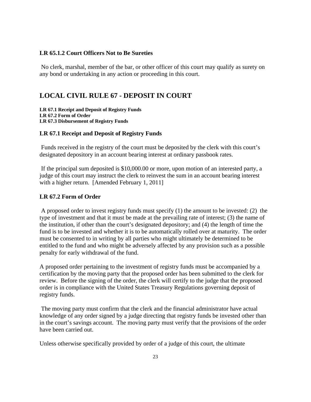# **LR 65.1.2 Court Officers Not to Be Sureties**

 No clerk, marshal, member of the bar, or other officer of this court may qualify as surety on any bond or undertaking in any action or proceeding in this court.

# **LOCAL CIVIL RULE 67 - DEPOSIT IN COURT**

**LR 67.1 Receipt and Deposit of Registry Funds LR 67.2 Form of Order LR 67.3 Disbursement of Registry Funds** 

# **LR 67.1 Receipt and Deposit of Registry Funds**

 Funds received in the registry of the court must be deposited by the clerk with this court's designated depository in an account bearing interest at ordinary passbook rates.

 If the principal sum deposited is \$10,000.00 or more, upon motion of an interested party, a judge of this court may instruct the clerk to reinvest the sum in an account bearing interest with a higher return. [Amended February 1, 2011]

#### **LR 67.2 Form of Order**

 A proposed order to invest registry funds must specify (1) the amount to be invested: (2) the type of investment and that it must be made at the prevailing rate of interest; (3) the name of the institution, if other than the court's designated depository; and (4) the length of time the fund is to be invested and whether it is to be automatically rolled over at maturity. The order must be consented to in writing by all parties who might ultimately be determined to be entitled to the fund and who might be adversely affected by any provision such as a possible penalty for early withdrawal of the fund.

A proposed order pertaining to the investment of registry funds must be accompanied by a certification by the moving party that the proposed order has been submitted to the clerk for review. Before the signing of the order, the clerk will certify to the judge that the proposed order is in compliance with the United States Treasury Regulations governing deposit of registry funds.

 The moving party must confirm that the clerk and the financial administrator have actual knowledge of any order signed by a judge directing that registry funds be invested other than in the court's savings account. The moving party must verify that the provisions of the order have been carried out.

Unless otherwise specifically provided by order of a judge of this court, the ultimate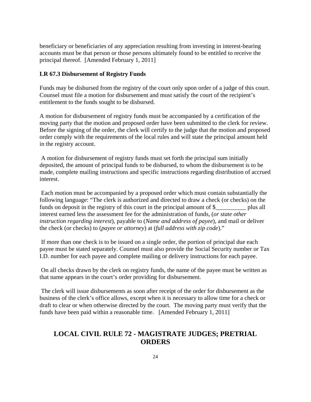beneficiary or beneficiaries of any appreciation resulting from investing in interest-bearing accounts must be that person or those persons ultimately found to be entitled to receive the principal thereof. [Amended February 1, 2011]

#### **LR 67.3 Disbursement of Registry Funds**

Funds may be disbursed from the registry of the court only upon order of a judge of this court. Counsel must file a motion for disbursement and must satisfy the court of the recipient's entitlement to the funds sought to be disbursed.

A motion for disbursement of registry funds must be accompanied by a certification of the moving party that the motion and proposed order have been submitted to the clerk for review. Before the signing of the order, the clerk will certify to the judge that the motion and proposed order comply with the requirements of the local rules and will state the principal amount held in the registry account.

 A motion for disbursement of registry funds must set forth the principal sum initially deposited, the amount of principal funds to be disbursed, to whom the disbursement is to be made, complete mailing instructions and specific instructions regarding distribution of accrued interest.

 Each motion must be accompanied by a proposed order which must contain substantially the following language: "The clerk is authorized and directed to draw a check (or checks) on the funds on deposit in the registry of this court in the principal amount of \$ plus all interest earned less the assessment fee for the administration of funds, (*or state other instruction regarding interest*), payable to (*Name and address of payee*), and mail or deliver the check (or checks) to (*payee or attorney*) at (*full address with zip code*)."

 If more than one check is to be issued on a single order, the portion of principal due each payee must be stated separately. Counsel must also provide the Social Security number or Tax I.D. number for each payee and complete mailing or delivery instructions for each payee.

 On all checks drawn by the clerk on registry funds, the name of the payee must be written as that name appears in the court's order providing for disbursement.

 The clerk will issue disbursements as soon after receipt of the order for disbursement as the business of the clerk's office allows, except when it is necessary to allow time for a check or draft to clear or when otherwise directed by the court. The moving party must verify that the funds have been paid within a reasonable time. [Amended February 1, 2011]

# **LOCAL CIVIL RULE 72 - MAGISTRATE JUDGES; PRETRIAL ORDERS**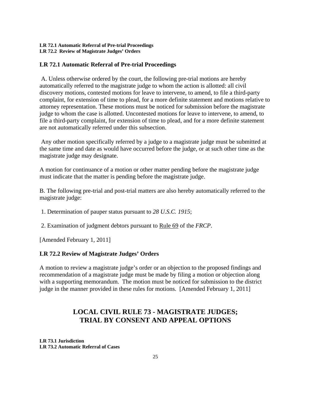#### **LR 72.1 Automatic Referral of Pre-trial Proceedings LR 72.2 Review of Magistrate Judges' Orders**

# **LR 72.1 Automatic Referral of Pre-trial Proceedings**

 A. Unless otherwise ordered by the court, the following pre-trial motions are hereby automatically referred to the magistrate judge to whom the action is allotted: all civil discovery motions, contested motions for leave to intervene, to amend, to file a third-party complaint, for extension of time to plead, for a more definite statement and motions relative to attorney representation. These motions must be noticed for submission before the magistrate judge to whom the case is allotted. Uncontested motions for leave to intervene, to amend, to file a third-party complaint, for extension of time to plead, and for a more definite statement are not automatically referred under this subsection.

 Any other motion specifically referred by a judge to a magistrate judge must be submitted at the same time and date as would have occurred before the judge, or at such other time as the magistrate judge may designate.

A motion for continuance of a motion or other matter pending before the magistrate judge must indicate that the matter is pending before the magistrate judge.

B. The following pre-trial and post-trial matters are also hereby automatically referred to the magistrate judge:

1. Determination of pauper status pursuant to *28 U.S.C. 1915*;

2. Examination of judgment debtors pursuant to Rule 69 of the *FRCP*.

[Amended February 1, 2011]

## **LR 72.2 Review of Magistrate Judges' Orders**

A motion to review a magistrate judge's order or an objection to the proposed findings and recommendation of a magistrate judge must be made by filing a motion or objection along with a supporting memorandum. The motion must be noticed for submission to the district judge in the manner provided in these rules for motions. [Amended February 1, 2011]

# **LOCAL CIVIL RULE 73 - MAGISTRATE JUDGES; TRIAL BY CONSENT AND APPEAL OPTIONS**

**LR 73.1 Jurisdiction LR 73.2 Automatic Referral of Cases**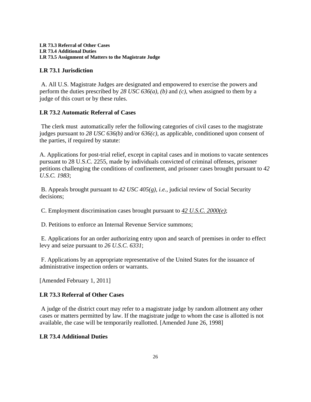# **LR 73.1 Jurisdiction**

 A. All U.S. Magistrate Judges are designated and empowered to exercise the powers and perform the duties prescribed by *28 USC 636(a)*, *(b)* and *(c)*, when assigned to them by a judge of this court or by these rules.

# **LR 73.2 Automatic Referral of Cases**

 The clerk must automatically refer the following categories of civil cases to the magistrate judges pursuant to *28 USC 636(b)* and/or *636(c)*, as applicable, conditioned upon consent of the parties, if required by statute:

A. Applications for post-trial relief, except in capital cases and in motions to vacate sentences pursuant to 28 U.S.C. 2255, made by individuals convicted of criminal offenses, prisoner petitions challenging the conditions of confinement, and prisoner cases brought pursuant to *42 U.S.C. 1983*;

 B. Appeals brought pursuant to *42 USC 405(g)*, *i.e.*, judicial review of Social Security decisions;

C. Employment discrimination cases brought pursuant to *42 U.S.C. 2000(e)*;

D. Petitions to enforce an Internal Revenue Service summons;

 E. Applications for an order authorizing entry upon and search of premises in order to effect levy and seize pursuant to *26 U.S.C. 6331*;

 F. Applications by an appropriate representative of the United States for the issuance of administrative inspection orders or warrants.

[Amended February 1, 2011]

# **LR 73.3 Referral of Other Cases**

 A judge of the district court may refer to a magistrate judge by random allotment any other cases or matters permitted by law. If the magistrate judge to whom the case is allotted is not available, the case will be temporarily reallotted. [Amended June 26, 1998]

# **LR 73.4 Additional Duties**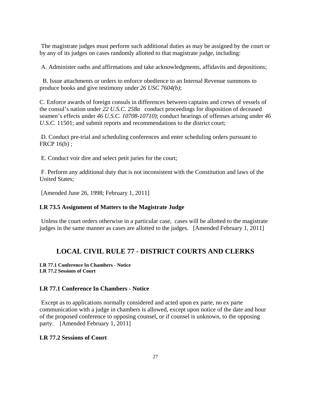The magistrate judges must perform such additional duties as may be assigned by the court or by any of its judges on cases randomly allotted to that magistrate judge, including:

A. Administer oaths and affirmations and take acknowledgments, affidavits and depositions;

 B. Issue attachments or orders to enforce obedience to an Internal Revenue summons to produce books and give testimony under *26 USC 7604(b)*;

C. Enforce awards of foreign consuls in differences between captains and crews of vessels of the consul's nation under *22 U.S.C. 258a* conduct proceedings for disposition of deceased seamen's effects under *46 U.S.C. 10708-10710)*; conduct hearings of offenses arising under *46 U.S.C.* 11501; and submit reports and recommendations to the district court;

 D. Conduct pre-trial and scheduling conferences and enter scheduling orders pursuant to FRCP 16(b) ;

E. Conduct voir dire and select petit juries for the court;

 F. Perform any additional duty that is not inconsistent with the Constitution and laws of the United States;

[Amended June 26, 1998; February 1, 2011]

#### **LR 73.5 Assignment of Matters to the Magistrate Judge**

 Unless the court orders otherwise in a particular case, cases will be allotted to the magistrate judges in the same manner as cases are allotted to the judges. [Amended February 1, 2011]

# **LOCAL CIVIL RULE 77 - DISTRICT COURTS AND CLERKS**

**LR 77.1 Conference In Chambers - Notice LR 77.2 Sessions of Court** 

# **LR 77.1 Conference In Chambers - Notice**

 Except as to applications normally considered and acted upon ex parte, no ex parte communication with a judge in chambers is allowed, except upon notice of the date and hour of the proposed conference to opposing counsel, or if counsel is unknown, to the opposing party. [Amended February 1, 2011]

# **LR 77.2 Sessions of Court**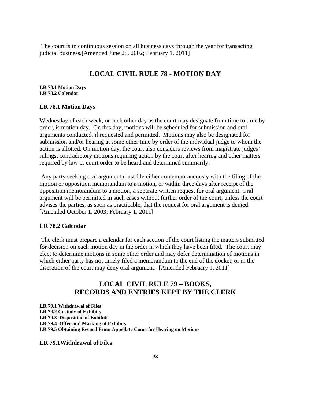The court is in continuous session on all business days through the year for transacting judicial business.[Amended June 28, 2002; February 1, 2011]

# **LOCAL CIVIL RULE 78 - MOTION DAY**

**LR 78.1 Motion Days LR 78.2 Calendar** 

#### **LR 78.1 Motion Days**

Wednesday of each week, or such other day as the court may designate from time to time by order, is motion day. On this day, motions will be scheduled for submission and oral arguments conducted, if requested and permitted. Motions may also be designated for submission and/or hearing at some other time by order of the individual judge to whom the action is allotted. On motion day, the court also considers reviews from magistrate judges' rulings, contradictory motions requiring action by the court after hearing and other matters required by law or court order to be heard and determined summarily.

 Any party seeking oral argument must file either contemporaneously with the filing of the motion or opposition memorandum to a motion, or within three days after receipt of the opposition memorandum to a motion, a separate written request for oral argument. Oral argument will be permitted in such cases without further order of the court, unless the court advises the parties, as soon as practicable, that the request for oral argument is denied. [Amended October 1, 2003; February 1, 2011]

#### **LR 78.2 Calendar**

 The clerk must prepare a calendar for each section of the court listing the matters submitted for decision on each motion day in the order in which they have been filed. The court may elect to determine motions in some other order and may defer determination of motions in which either party has not timely filed a memorandum to the end of the docket, or in the discretion of the court may deny oral argument. [Amended February 1, 2011]

# **LOCAL CIVIL RULE 79 – BOOKS, RECORDS AND ENTRIES KEPT BY THE CLERK**

**LR 79.1 Withdrawal of Files LR 79.2 Custody of Exhibits LR 79.3 Disposition of Exhibits LR 79.4 Offer and Marking of Exhibits LR 79.5 Obtaining Record From Appellate Court for Hearing on Motions** 

**LR 79.1Withdrawal of Files**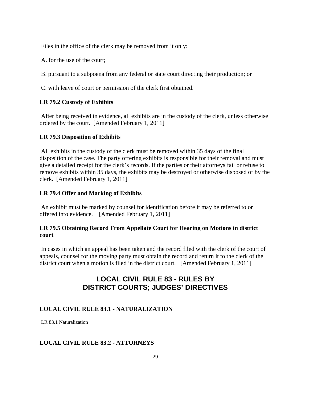Files in the office of the clerk may be removed from it only:

A. for the use of the court;

B. pursuant to a subpoena from any federal or state court directing their production; or

C. with leave of court or permission of the clerk first obtained.

# **LR 79.2 Custody of Exhibits**

 After being received in evidence, all exhibits are in the custody of the clerk, unless otherwise ordered by the court. [Amended February 1, 2011]

# **LR 79.3 Disposition of Exhibits**

 All exhibits in the custody of the clerk must be removed within 35 days of the final disposition of the case. The party offering exhibits is responsible for their removal and must give a detailed receipt for the clerk's records. If the parties or their attorneys fail or refuse to remove exhibits within 35 days, the exhibits may be destroyed or otherwise disposed of by the clerk. [Amended February 1, 2011]

# **LR 79.4 Offer and Marking of Exhibits**

 An exhibit must be marked by counsel for identification before it may be referred to or offered into evidence. [Amended February 1, 2011]

# **LR 79.5 Obtaining Record From Appellate Court for Hearing on Motions in district court**

 In cases in which an appeal has been taken and the record filed with the clerk of the court of appeals, counsel for the moving party must obtain the record and return it to the clerk of the district court when a motion is filed in the district court. [Amended February 1, 2011]

# **LOCAL CIVIL RULE 83 - RULES BY DISTRICT COURTS; JUDGES' DIRECTIVES**

# **LOCAL CIVIL RULE 83.1 - NATURALIZATION**

LR 83.1 Naturalization

# **LOCAL CIVIL RULE 83.2 - ATTORNEYS**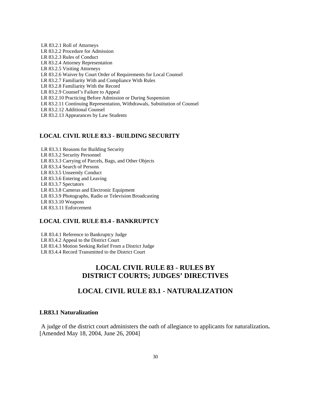LR 83.2.1 Roll of Attorneys LR 83.2.2 Procedure for Admission LR 83.2.3 Rules of Conduct LR 83.2.4 Attorney Representation LR 83.2.5 Visiting Attorneys LR 83.2.6 Waiver by Court Order of Requirements for Local Counsel LR 83.2.7 Familiarity With and Compliance With Rules LR 83.2.8 Familiarity With the Record LR 83.2.9 Counsel's Failure to Appeal LR 83.2.10 Practicing Before Admission or During Suspension LR 83.2.11 Continuing Representation, Withdrawals, Substitution of Counsel LR 83.2.12 Additional Counsel LR 83.2.13 Appearances by Law Students

#### **LOCAL CIVIL RULE 83.3 - BUILDING SECURITY**

LR 83.3.1 Reasons for Building Security LR 83.3.2 Security Personnel LR 83.3.3 Carrying of Parcels, Bags, and Other Objects LR 83.3.4 Search of Persons LR 83.3.5 Unseemly Conduct LR 83.3.6 Entering and Leaving LR 83.3.7 Spectators LR 83.3.8 Cameras and Electronic Equipment LR 83.3.9 Photographs, Radio or Television Broadcasting LR 83.3.10 Weapons LR 83.3.11 Enforcement

# **LOCAL CIVIL RULE 83.4 - BANKRUPTCY**

LR 83.4.1 Reference to Bankruptcy Judge LR 83.4.2 Appeal to the District Court LR 83.4.3 Motion Seeking Relief From a District Judge LR 83.4.4 Record Transmitted to the District Court

# **LOCAL CIVIL RULE 83 - RULES BY DISTRICT COURTS; JUDGES' DIRECTIVES**

# **LOCAL CIVIL RULE 83.1 - NATURALIZATION**

# **LR83.1 Naturalization**

 A judge of the district court administers the oath of allegiance to applicants for naturalization**.**  [Amended May 18, 2004, June 26, 2004]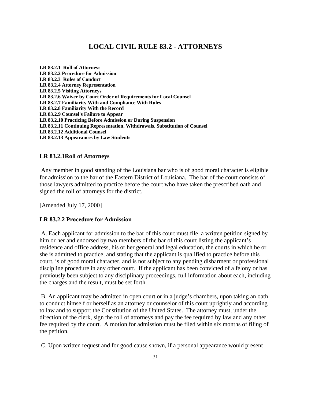# **LOCAL CIVIL RULE 83.2 - ATTORNEYS**

**LR 83.2.1 Roll of Attorneys LR 83.2.2 Procedure for Admission LR 83.2.3 Rules of Conduct LR 83.2.4 Attorney Representation LR 83.2.5 Visiting Attorneys LR 83.2.6 Waiver by Court Order of Requirements for Local Counsel LR 83.2.7 Familiarity With and Compliance With Rules LR 83.2.8 Familiarity With the Record LR 83.2.9 Counsel's Failure to Appear LR 83.2.10 Practicing Before Admission or During Suspension LR 83.2.11 Continuing Representation, Withdrawals, Substitution of Counsel LR 83.2.12 Additional Counsel LR 83.2.13 Appearances by Law Students** 

## **LR 83.2.1Roll of Attorneys**

 Any member in good standing of the Louisiana bar who is of good moral character is eligible for admission to the bar of the Eastern District of Louisiana. The bar of the court consists of those lawyers admitted to practice before the court who have taken the prescribed oath and signed the roll of attorneys for the district.

[Amended July 17, 2000]

#### **LR 83.2.2 Procedure for Admission**

 A. Each applicant for admission to the bar of this court must file a written petition signed by him or her and endorsed by two members of the bar of this court listing the applicant's residence and office address, his or her general and legal education, the courts in which he or she is admitted to practice, and stating that the applicant is qualified to practice before this court, is of good moral character, and is not subject to any pending disbarment or professional discipline procedure in any other court. If the applicant has been convicted of a felony or has previously been subject to any disciplinary proceedings, full information about each, including the charges and the result, must be set forth.

 B. An applicant may be admitted in open court or in a judge's chambers, upon taking an oath to conduct himself or herself as an attorney or counselor of this court uprightly and according to law and to support the Constitution of the United States. The attorney must, under the direction of the clerk, sign the roll of attorneys and pay the fee required by law and any other fee required by the court. A motion for admission must be filed within six months of filing of the petition.

C. Upon written request and for good cause shown, if a personal appearance would present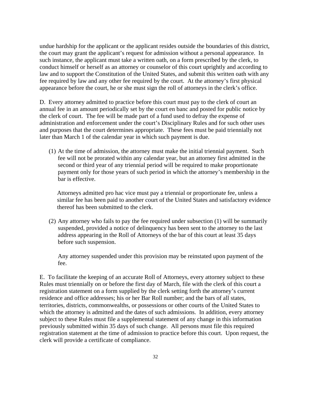undue hardship for the applicant or the applicant resides outside the boundaries of this district, the court may grant the applicant's request for admission without a personal appearance. In such instance, the applicant must take a written oath, on a form prescribed by the clerk, to conduct himself or herself as an attorney or counselor of this court uprightly and according to law and to support the Constitution of the United States, and submit this written oath with any fee required by law and any other fee required by the court. At the attorney's first physical appearance before the court, he or she must sign the roll of attorneys in the clerk's office.

D. Every attorney admitted to practice before this court must pay to the clerk of court an annual fee in an amount periodically set by the court en banc and posted for public notice by the clerk of court. The fee will be made part of a fund used to defray the expense of administration and enforcement under the court's Disciplinary Rules and for such other uses and purposes that the court determines appropriate. These fees must be paid triennially not later than March 1 of the calendar year in which such payment is due.

(1) At the time of admission, the attorney must make the initial triennial payment. Such fee will not be prorated within any calendar year, but an attorney first admitted in the second or third year of any triennial period will be required to make proportionate payment only for those years of such period in which the attorney's membership in the bar is effective.

Attorneys admitted pro hac vice must pay a triennial or proportionate fee, unless a similar fee has been paid to another court of the United States and satisfactory evidence thereof has been submitted to the clerk.

(2) Any attorney who fails to pay the fee required under subsection (1) will be summarily suspended, provided a notice of delinquency has been sent to the attorney to the last address appearing in the Roll of Attorneys of the bar of this court at least 35 days before such suspension.

Any attorney suspended under this provision may be reinstated upon payment of the fee.

E. To facilitate the keeping of an accurate Roll of Attorneys, every attorney subject to these Rules must triennially on or before the first day of March, file with the clerk of this court a registration statement on a form supplied by the clerk setting forth the attorney's current residence and office addresses; his or her Bar Roll number; and the bars of all states, territories, districts, commonwealths, or possessions or other courts of the United States to which the attorney is admitted and the dates of such admissions. In addition, every attorney subject to these Rules must file a supplemental statement of any change in this information previously submitted within 35 days of such change. All persons must file this required registration statement at the time of admission to practice before this court. Upon request, the clerk will provide a certificate of compliance.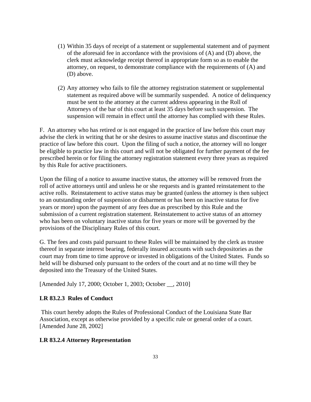- (1) Within 35 days of receipt of a statement or supplemental statement and of payment of the aforesaid fee in accordance with the provisions of (A) and (D) above, the clerk must acknowledge receipt thereof in appropriate form so as to enable the attorney, on request, to demonstrate compliance with the requirements of (A) and (D) above.
- (2) Any attorney who fails to file the attorney registration statement or supplemental statement as required above will be summarily suspended. A notice of delinquency must be sent to the attorney at the current address appearing in the Roll of Attorneys of the bar of this court at least 35 days before such suspension. The suspension will remain in effect until the attorney has complied with these Rules.

F. An attorney who has retired or is not engaged in the practice of law before this court may advise the clerk in writing that he or she desires to assume inactive status and discontinue the practice of law before this court. Upon the filing of such a notice, the attorney will no longer be eligible to practice law in this court and will not be obligated for further payment of the fee prescribed herein or for filing the attorney registration statement every three years as required by this Rule for active practitioners.

Upon the filing of a notice to assume inactive status, the attorney will be removed from the roll of active attorneys until and unless he or she requests and is granted reinstatement to the active rolls. Reinstatement to active status may be granted (unless the attorney is then subject to an outstanding order of suspension or disbarment or has been on inactive status for five years or more) upon the payment of any fees due as prescribed by this Rule and the submission of a current registration statement. Reinstatement to active status of an attorney who has been on voluntary inactive status for five years or more will be governed by the provisions of the Disciplinary Rules of this court.

G. The fees and costs paid pursuant to these Rules will be maintained by the clerk as trustee thereof in separate interest bearing, federally insured accounts with such depositories as the court may from time to time approve or invested in obligations of the United States. Funds so held will be disbursed only pursuant to the orders of the court and at no time will they be deposited into the Treasury of the United States.

[Amended July 17, 2000; October 1, 2003; October \_\_, 2010]

# **LR 83.2.3 Rules of Conduct**

 This court hereby adopts the Rules of Professional Conduct of the Louisiana State Bar Association, except as otherwise provided by a specific rule or general order of a court. [Amended June 28, 2002]

## **LR 83.2.4 Attorney Representation**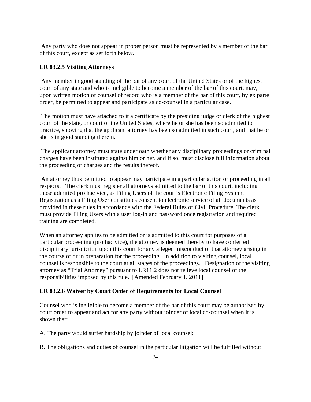Any party who does not appear in proper person must be represented by a member of the bar of this court, except as set forth below.

# **LR 83.2.5 Visiting Attorneys**

 Any member in good standing of the bar of any court of the United States or of the highest court of any state and who is ineligible to become a member of the bar of this court, may, upon written motion of counsel of record who is a member of the bar of this court, by ex parte order, be permitted to appear and participate as co-counsel in a particular case.

 The motion must have attached to it a certificate by the presiding judge or clerk of the highest court of the state, or court of the United States, where he or she has been so admitted to practice, showing that the applicant attorney has been so admitted in such court, and that he or she is in good standing therein.

 The applicant attorney must state under oath whether any disciplinary proceedings or criminal charges have been instituted against him or her, and if so, must disclose full information about the proceeding or charges and the results thereof.

 An attorney thus permitted to appear may participate in a particular action or proceeding in all respects. The clerk must register all attorneys admitted to the bar of this court, including those admitted pro hac vice, as Filing Users of the court's Electronic Filing System. Registration as a Filing User constitutes consent to electronic service of all documents as provided in these rules in accordance with the Federal Rules of Civil Procedure. The clerk must provide Filing Users with a user log-in and password once registration and required training are completed.

When an attorney applies to be admitted or is admitted to this court for purposes of a particular proceeding (pro hac vice), the attorney is deemed thereby to have conferred disciplinary jurisdiction upon this court for any alleged misconduct of that attorney arising in the course of or in preparation for the proceeding. In addition to visiting counsel, local counsel is responsible to the court at all stages of the proceedings. Designation of the visiting attorney as "Trial Attorney" pursuant to LR11.2 does not relieve local counsel of the responsibilities imposed by this rule. [Amended February 1, 2011]

## **LR 83.2.6 Waiver by Court Order of Requirements for Local Counsel**

Counsel who is ineligible to become a member of the bar of this court may be authorized by court order to appear and act for any party without joinder of local co-counsel when it is shown that:

A. The party would suffer hardship by joinder of local counsel;

B. The obligations and duties of counsel in the particular litigation will be fulfilled without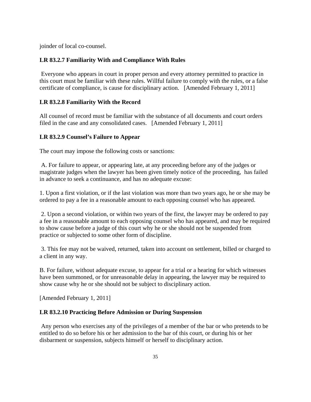joinder of local co-counsel.

# **LR 83.2.7 Familiarity With and Compliance With Rules**

 Everyone who appears in court in proper person and every attorney permitted to practice in this court must be familiar with these rules. Willful failure to comply with the rules, or a false certificate of compliance, is cause for disciplinary action. [Amended February 1, 2011]

# **LR 83.2.8 Familiarity With the Record**

All counsel of record must be familiar with the substance of all documents and court orders filed in the case and any consolidated cases. [Amended February 1, 2011]

# **LR 83.2.9 Counsel's Failure to Appear**

The court may impose the following costs or sanctions:

 A. For failure to appear, or appearing late, at any proceeding before any of the judges or magistrate judges when the lawyer has been given timely notice of the proceeding, has failed in advance to seek a continuance, and has no adequate excuse:

1. Upon a first violation, or if the last violation was more than two years ago, he or she may be ordered to pay a fee in a reasonable amount to each opposing counsel who has appeared.

 2. Upon a second violation, or within two years of the first, the lawyer may be ordered to pay a fee in a reasonable amount to each opposing counsel who has appeared, and may be required to show cause before a judge of this court why he or she should not be suspended from practice or subjected to some other form of discipline.

 3. This fee may not be waived, returned, taken into account on settlement, billed or charged to a client in any way.

B. For failure, without adequate excuse, to appear for a trial or a hearing for which witnesses have been summoned, or for unreasonable delay in appearing, the lawyer may be required to show cause why he or she should not be subject to disciplinary action.

[Amended February 1, 2011]

## **LR 83.2.10 Practicing Before Admission or During Suspension**

 Any person who exercises any of the privileges of a member of the bar or who pretends to be entitled to do so before his or her admission to the bar of this court, or during his or her disbarment or suspension, subjects himself or herself to disciplinary action.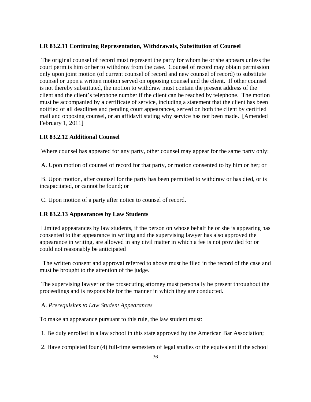# **LR 83.2.11 Continuing Representation, Withdrawals, Substitution of Counsel**

 The original counsel of record must represent the party for whom he or she appears unless the court permits him or her to withdraw from the case. Counsel of record may obtain permission only upon joint motion (of current counsel of record and new counsel of record) to substitute counsel or upon a written motion served on opposing counsel and the client. If other counsel is not thereby substituted, the motion to withdraw must contain the present address of the client and the client's telephone number if the client can be reached by telephone. The motion must be accompanied by a certificate of service, including a statement that the client has been notified of all deadlines and pending court appearances, served on both the client by certified mail and opposing counsel, or an affidavit stating why service has not been made. [Amended February 1, 2011]

## **LR 83.2.12 Additional Counsel**

Where counsel has appeared for any party, other counsel may appear for the same party only:

A. Upon motion of counsel of record for that party, or motion consented to by him or her; or

 B. Upon motion, after counsel for the party has been permitted to withdraw or has died, or is incapacitated, or cannot be found; or

C. Upon motion of a party after notice to counsel of record.

## **LR 83.2.13 Appearances by Law Students**

 Limited appearances by law students, if the person on whose behalf he or she is appearing has consented to that appearance in writing and the supervising lawyer has also approved the appearance in writing, are allowed in any civil matter in which a fee is not provided for or could not reasonably be anticipated

 The written consent and approval referred to above must be filed in the record of the case and must be brought to the attention of the judge.

 The supervising lawyer or the prosecuting attorney must personally be present throughout the proceedings and is responsible for the manner in which they are conducted.

#### A. *Prerequisites to Law Student Appearances*

To make an appearance pursuant to this rule, the law student must:

1. Be duly enrolled in a law school in this state approved by the American Bar Association;

2. Have completed four (4) full-time semesters of legal studies or the equivalent if the school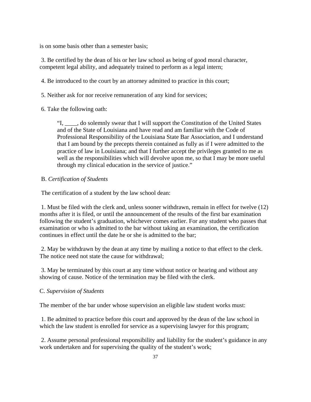is on some basis other than a semester basis;

 3. Be certified by the dean of his or her law school as being of good moral character, competent legal ability, and adequately trained to perform as a legal intern;

4. Be introduced to the court by an attorney admitted to practice in this court;

5. Neither ask for nor receive remuneration of any kind for services;

6. Take the following oath:

"I, \_\_\_\_, do solemnly swear that I will support the Constitution of the United States and of the State of Louisiana and have read and am familiar with the Code of Professional Responsibility of the Louisiana State Bar Association, and I understand that I am bound by the precepts therein contained as fully as if I were admitted to the practice of law in Louisiana; and that I further accept the privileges granted to me as well as the responsibilities which will devolve upon me, so that I may be more useful through my clinical education in the service of justice."

## B. *Certification of Students*

The certification of a student by the law school dean:

 1. Must be filed with the clerk and, unless sooner withdrawn, remain in effect for twelve (12) months after it is filed, or until the announcement of the results of the first bar examination following the student's graduation, whichever comes earlier. For any student who passes that examination or who is admitted to the bar without taking an examination, the certification continues in effect until the date he or she is admitted to the bar;

 2. May be withdrawn by the dean at any time by mailing a notice to that effect to the clerk. The notice need not state the cause for withdrawal;

 3. May be terminated by this court at any time without notice or hearing and without any showing of cause. Notice of the termination may be filed with the clerk.

## C. *Supervision of Students*

The member of the bar under whose supervision an eligible law student works must:

 1. Be admitted to practice before this court and approved by the dean of the law school in which the law student is enrolled for service as a supervising lawyer for this program;

 2. Assume personal professional responsibility and liability for the student's guidance in any work undertaken and for supervising the quality of the student's work;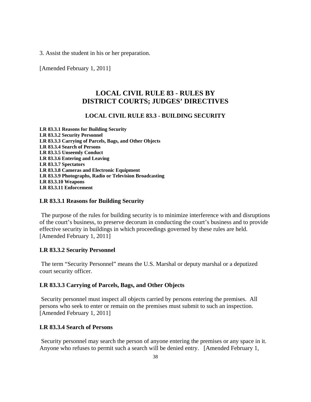3. Assist the student in his or her preparation.

[Amended February 1, 2011]

# **LOCAL CIVIL RULE 83 - RULES BY DISTRICT COURTS; JUDGES' DIRECTIVES**

# **LOCAL CIVIL RULE 83.3 - BUILDING SECURITY**

**LR 83.3.1 Reasons for Building Security LR 83.3.2 Security Personnel LR 83.3.3 Carrying of Parcels, Bags, and Other Objects LR 83.3.4 Search of Persons LR 83.3.5 Unseemly Conduct LR 83.3.6 Entering and Leaving LR 83.3.7 Spectators LR 83.3.8 Cameras and Electronic Equipment LR 83.3.9 Photographs, Radio or Television Broadcasting LR 83.3.10 Weapons LR 83.3.11 Enforcement** 

#### **LR 83.3.1 Reasons for Building Security**

 The purpose of the rules for building security is to minimize interference with and disruptions of the court's business, to preserve decorum in conducting the court's business and to provide effective security in buildings in which proceedings governed by these rules are held. [Amended February 1, 2011]

## **LR 83.3.2 Security Personnel**

 The term "Security Personnel" means the U.S. Marshal or deputy marshal or a deputized court security officer.

# **LR 83.3.3 Carrying of Parcels, Bags, and Other Objects**

 Security personnel must inspect all objects carried by persons entering the premises. All persons who seek to enter or remain on the premises must submit to such an inspection. [Amended February 1, 2011]

# **LR 83.3.4 Search of Persons**

 Security personnel may search the person of anyone entering the premises or any space in it. Anyone who refuses to permit such a search will be denied entry. [Amended February 1,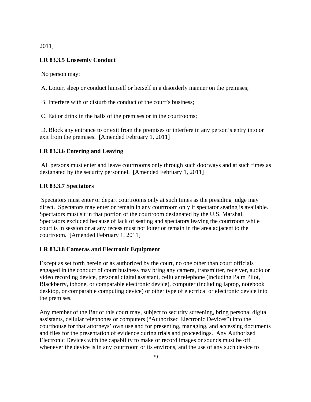2011]

# **LR 83.3.5 Unseemly Conduct**

No person may:

A. Loiter, sleep or conduct himself or herself in a disorderly manner on the premises;

B. Interfere with or disturb the conduct of the court's business;

C. Eat or drink in the halls of the premises or in the courtrooms;

 D. Block any entrance to or exit from the premises or interfere in any person's entry into or exit from the premises. [Amended February 1, 2011]

## **LR 83.3.6 Entering and Leaving**

 All persons must enter and leave courtrooms only through such doorways and at such times as designated by the security personnel. [Amended February 1, 2011]

#### **LR 83.3.7 Spectators**

 Spectators must enter or depart courtrooms only at such times as the presiding judge may direct. Spectators may enter or remain in any courtroom only if spectator seating is available. Spectators must sit in that portion of the courtroom designated by the U.S. Marshal. Spectators excluded because of lack of seating and spectators leaving the courtroom while court is in session or at any recess must not loiter or remain in the area adjacent to the courtroom. [Amended February 1, 2011]

# **LR 83.3.8 Cameras and Electronic Equipment**

Except as set forth herein or as authorized by the court, no one other than court officials engaged in the conduct of court business may bring any camera, transmitter, receiver, audio or video recording device, personal digital assistant, cellular telephone (including Palm Pilot, Blackberry, iphone, or comparable electronic device), computer (including laptop, notebook desktop, or comparable computing device) or other type of electrical or electronic device into the premises.

Any member of the Bar of this court may, subject to security screening, bring personal digital assistants, cellular telephones or computers ("Authorized Electronic Devices") into the courthouse for that attorneys' own use and for presenting, managing, and accessing documents and files for the presentation of evidence during trials and proceedings. Any Authorized Electronic Devices with the capability to make or record images or sounds must be off whenever the device is in any courtroom or its environs, and the use of any such device to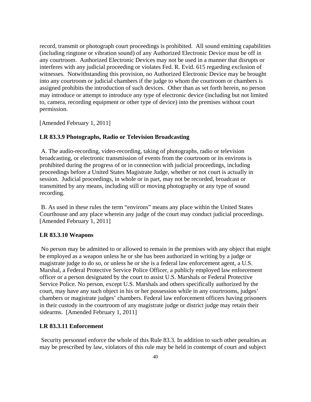record, transmit or photograph court proceedings is prohibited. All sound emitting capabilities (including ringtone or vibration sound) of any Authorized Electronic Device must be off in any courtroom. Authorized Electronic Devices may not be used in a manner that disrupts or interferes with any judicial proceeding or violates Fed. R. Evid. 615 regarding exclusion of witnesses. Notwithstanding this provision, no Authorized Electronic Device may be brought into any courtroom or judicial chambers if the judge to whom the courtroom or chambers is assigned prohibits the introduction of such devices. Other than as set forth herein, no person may introduce or attempt to introduce any type of electronic device (including but not limited to, camera, recording equipment or other type of device) into the premises without court permission.

[Amended February 1, 2011]

## **LR 83.3.9 Photographs, Radio or Television Broadcasting**

 A. The audio-recording, video-recording, taking of photographs, radio or television broadcasting, or electronic transmission of events from the courtroom or its environs is prohibited during the progress of or in connection with judicial proceedings, including proceedings before a United States Magistrate Judge, whether or not court is actually in session. Judicial proceedings, in whole or in part, may not be recorded, broadcast or transmitted by any means, including still or moving photography or any type of sound recording.

 B. As used in these rules the term "environs" means any place within the United States Courthouse and any place wherein any judge of the court may conduct judicial proceedings. [Amended February 1, 2011]

## **LR 83.3.10 Weapons**

 No person may be admitted to or allowed to remain in the premises with any object that might be employed as a weapon unless he or she has been authorized in writing by a judge or magistrate judge to do so, or unless he or she is a federal law enforcement agent, a U.S. Marshal, a Federal Protective Service Police Officer, a publicly employed law enforcement officer or a person designated by the court to assist U.S. Marshals or Federal Protective Service Police. No person, except U.S. Marshals and others specifically authorized by the court, may have any such object in his or her possession while in any courtrooms, judges' chambers or magistrate judges' chambers. Federal law enforcement officers having prisoners in their custody in the courtroom of any magistrate judge or district judge may retain their sidearms. [Amended February 1, 2011]

#### **LR 83.3.11 Enforcement**

 Security personnel enforce the whole of this Rule 83.3. In addition to such other penalties as may be prescribed by law, violators of this rule may be held in contempt of court and subject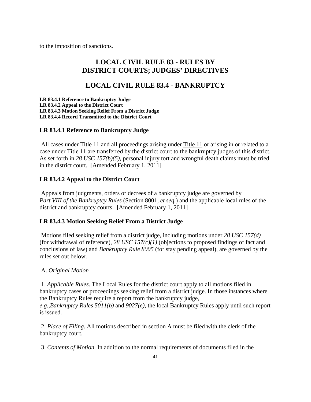to the imposition of sanctions.

# **LOCAL CIVIL RULE 83 - RULES BY DISTRICT COURTS; JUDGES' DIRECTIVES**

# **LOCAL CIVIL RULE 83.4 - BANKRUPTCY**

**LR 83.4.1 Reference to Bankruptcy Judge LR 83.4.2 Appeal to the District Court LR 83.4.3 Motion Seeking Relief From a District Judge LR 83.4.4 Record Transmitted to the District Court** 

# **LR 83.4.1 Reference to Bankruptcy Judge**

 All cases under Title 11 and all proceedings arising under Title 11 or arising in or related to a case under Title 11 are transferred by the district court to the bankruptcy judges of this district. As set forth in *28 USC 157(b)(5)*, personal injury tort and wrongful death claims must be tried in the district court. [Amended February 1, 2011]

# **LR 83.4.2 Appeal to the District Court**

 Appeals from judgments, orders or decrees of a bankruptcy judge are governed by *Part VIII of the Bankruptcy Rules* (Section 8001, *et seq.*) and the applicable local rules of the district and bankruptcy courts. [Amended February 1, 2011]

# **LR 83.4.3 Motion Seeking Relief From a District Judge**

 Motions filed seeking relief from a district judge, including motions under *28 USC 157(d)* (for withdrawal of reference), 28 USC 157 $(c)(1)$  (objections to proposed findings of fact and conclusions of law) and *Bankruptcy Rule 8005* (for stay pending appeal), are governed by the rules set out below.

## A. *Original Motion*

 1. *Applicable Rules*. The Local Rules for the district court apply to all motions filed in bankruptcy cases or proceedings seeking relief from a district judge. In those instances where the Bankruptcy Rules require a report from the bankruptcy judge,

*e.g.*,*Bankruptcy Rules 5011(b)* and *9027(e)*, the local Bankruptcy Rules apply until such report is issued.

 2. *Place of Filing*. All motions described in section A must be filed with the clerk of the bankruptcy court.

3. *Contents of Motion*. In addition to the normal requirements of documents filed in the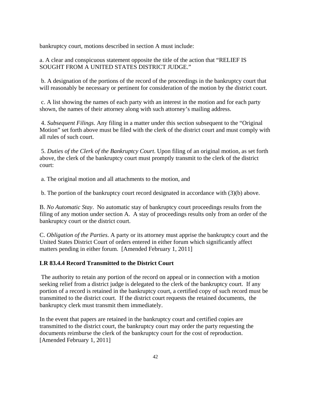bankruptcy court, motions described in section A must include:

a. A clear and conspicuous statement opposite the title of the action that "RELIEF IS SOUGHT FROM A UNITED STATES DISTRICT JUDGE."

 b. A designation of the portions of the record of the proceedings in the bankruptcy court that will reasonably be necessary or pertinent for consideration of the motion by the district court.

 c. A list showing the names of each party with an interest in the motion and for each party shown, the names of their attorney along with such attorney's mailing address.

 4. *Subsequent Filings*. Any filing in a matter under this section subsequent to the "Original Motion" set forth above must be filed with the clerk of the district court and must comply with all rules of such court.

 5. *Duties of the Clerk of the Bankruptcy Court*. Upon filing of an original motion, as set forth above, the clerk of the bankruptcy court must promptly transmit to the clerk of the district court:

a. The original motion and all attachments to the motion, and

b. The portion of the bankruptcy court record designated in accordance with (3)(b) above.

B. *No Automatic Stay*. No automatic stay of bankruptcy court proceedings results from the filing of any motion under section A. A stay of proceedings results only from an order of the bankruptcy court or the district court.

C. *Obligation of the Parties*. A party or its attorney must apprise the bankruptcy court and the United States District Court of orders entered in either forum which significantly affect matters pending in either forum. [Amended February 1, 2011]

# **LR 83.4.4 Record Transmitted to the District Court**

 The authority to retain any portion of the record on appeal or in connection with a motion seeking relief from a district judge is delegated to the clerk of the bankruptcy court. If any portion of a record is retained in the bankruptcy court, a certified copy of such record must be transmitted to the district court. If the district court requests the retained documents, the bankruptcy clerk must transmit them immediately.

In the event that papers are retained in the bankruptcy court and certified copies are transmitted to the district court, the bankruptcy court may order the party requesting the documents reimburse the clerk of the bankruptcy court for the cost of reproduction. [Amended February 1, 2011]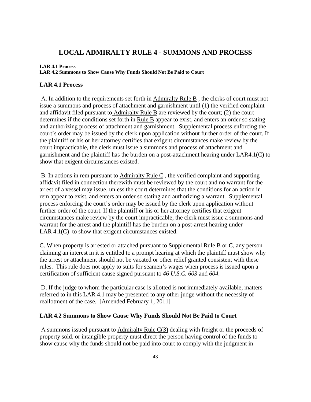# **LOCAL ADMIRALTY RULE 4 - SUMMONS AND PROCESS**

#### **LAR 4.1 Process**

**LAR 4.2 Summons to Show Cause Why Funds Should Not Be Paid to Court** 

## **LAR 4.1 Process**

 A. In addition to the requirements set forth in Admiralty Rule B , the clerks of court must not issue a summons and process of attachment and garnishment until (1) the verified complaint and affidavit filed pursuant to Admiralty Rule B are reviewed by the court; (2) the court determines if the conditions set forth in Rule B appear to exist, and enters an order so stating and authorizing process of attachment and garnishment. Supplemental process enforcing the court's order may be issued by the clerk upon application without further order of the court. If the plaintiff or his or her attorney certifies that exigent circumstances make review by the court impracticable, the clerk must issue a summons and process of attachment and garnishment and the plaintiff has the burden on a post-attachment hearing under LAR4.1(C) to show that exigent circumstances existed.

 B. In actions in rem pursuant to Admiralty Rule C , the verified complaint and supporting affidavit filed in connection therewith must be reviewed by the court and no warrant for the arrest of a vessel may issue, unless the court determines that the conditions for an action in rem appear to exist, and enters an order so stating and authorizing a warrant. Supplemental process enforcing the court's order may be issued by the clerk upon application without further order of the court. If the plaintiff or his or her attorney certifies that exigent circumstances make review by the court impracticable, the clerk must issue a summons and warrant for the arrest and the plaintiff has the burden on a post-arrest hearing under LAR 4.1(C) to show that exigent circumstances existed.

C. When property is arrested or attached pursuant to Supplemental Rule B or C, any person claiming an interest in it is entitled to a prompt hearing at which the plaintiff must show why the arrest or attachment should not be vacated or other relief granted consistent with these rules. This rule does not apply to suits for seamen's wages when process is issued upon a certification of sufficient cause signed pursuant to *46 U.S.C. 603* and *604*.

 D. If the judge to whom the particular case is allotted is not immediately available, matters referred to in this LAR 4.1 may be presented to any other judge without the necessity of reallotment of the case. [Amended February 1, 2011]

## **LAR 4.2 Summons to Show Cause Why Funds Should Not Be Paid to Court**

 A summons issued pursuant to Admiralty Rule C(3) dealing with freight or the proceeds of property sold, or intangible property must direct the person having control of the funds to show cause why the funds should not be paid into court to comply with the judgment in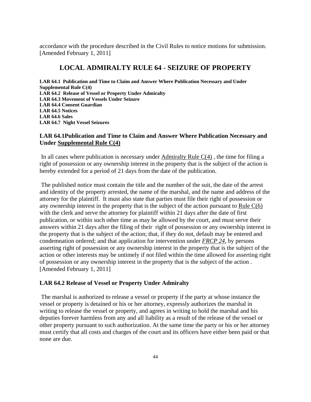accordance with the procedure described in the Civil Rules to notice motions for submission. [Amended February 1, 2011]

# **LOCAL ADMIRALTY RULE 64 - SEIZURE OF PROPERTY**

**LAR 64.1 Publication and Time to Claim and Answer Where Publication Necessary and Under Supplemental Rule C(4) LAR 64.2 Release of Vessel or Property Under Admiralty LAR 64.3 Movement of Vessels Under Seizure LAR 64.4 Consent Guardian LAR 64.5 Notices LAR 64.6 Sales LAR 64.7 Night Vessel Seizures** 

# **LAR 64.1Publication and Time to Claim and Answer Where Publication Necessary and Under Supplemental Rule C(4)**

In all cases where publication is necessary under Admiralty Rule  $C(4)$ , the time for filing a right of possession or any ownership interest in the property that is the subject of the action is hereby extended for a period of 21 days from the date of the publication.

 The published notice must contain the title and the number of the suit, the date of the arrest and identity of the property arrested, the name of the marshal, and the name and address of the attorney for the plaintiff. It must also state that parties must file their right of possession or any ownership interest in the property that is the subject of the action pursuant to Rule C(6) with the clerk and serve the attorney for plaintiff within 21 days after the date of first publication, or within such other time as may be allowed by the court, and must serve their answers within 21 days after the filing of their right of possession or any ownership interest in the property that is the subject of the action; that, if they do not, default may be entered and condemnation ordered; and that application for intervention under *FRCP 24*, by persons asserting right of possession or any ownership interest in the property that is the subject of the action or other interests may be untimely if not filed within the time allowed for asserting right of possession or any ownership interest in the property that is the subject of the action . [Amended February 1, 2011]

#### **LAR 64.2 Release of Vessel or Property Under Admiralty**

 The marshal is authorized to release a vessel or property if the party at whose instance the vessel or property is detained or his or her attorney, expressly authorizes the marshal in writing to release the vessel or property, and agrees in writing to hold the marshal and his deputies forever harmless from any and all liability as a result of the release of the vessel or other property pursuant to such authorization. At the same time the party or his or her attorney must certify that all costs and charges of the court and its officers have either been paid or that none are due.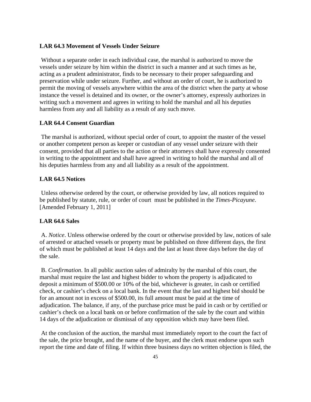#### **LAR 64.3 Movement of Vessels Under Seizure**

 Without a separate order in each individual case, the marshal is authorized to move the vessels under seizure by him within the district in such a manner and at such times as he, acting as a prudent administrator, finds to be necessary to their proper safeguarding and preservation while under seizure. Further, and without an order of court, he is authorized to permit the moving of vessels anywhere within the area of the district when the party at whose instance the vessel is detained and its owner, or the owner's attorney, expressly authorizes in writing such a movement and agrees in writing to hold the marshal and all his deputies harmless from any and all liability as a result of any such move.

#### **LAR 64.4 Consent Guardian**

 The marshal is authorized, without special order of court, to appoint the master of the vessel or another competent person as keeper or custodian of any vessel under seizure with their consent, provided that all parties to the action or their attorneys shall have expressly consented in writing to the appointment and shall have agreed in writing to hold the marshal and all of his deputies harmless from any and all liability as a result of the appointment.

# **LAR 64.5 Notices**

 Unless otherwise ordered by the court, or otherwise provided by law, all notices required to be published by statute, rule, or order of court must be published in the *Times-Picayune*. [Amended February 1, 2011]

#### **LAR 64.6 Sales**

 A. *Notice*. Unless otherwise ordered by the court or otherwise provided by law, notices of sale of arrested or attached vessels or property must be published on three different days, the first of which must be published at least 14 days and the last at least three days before the day of the sale.

 B. *Confirmation*. In all public auction sales of admiralty by the marshal of this court, the marshal must require the last and highest bidder to whom the property is adjudicated to deposit a minimum of \$500.00 or 10% of the bid, whichever is greater, in cash or certified check, or cashier's check on a local bank. In the event that the last and highest bid should be for an amount not in excess of \$500.00, its full amount must be paid at the time of adjudication. The balance, if any, of the purchase price must be paid in cash or by certified or cashier's check on a local bank on or before confirmation of the sale by the court and within 14 days of the adjudication or dismissal of any opposition which may have been filed.

 At the conclusion of the auction, the marshal must immediately report to the court the fact of the sale, the price brought, and the name of the buyer, and the clerk must endorse upon such report the time and date of filing. If within three business days no written objection is filed, the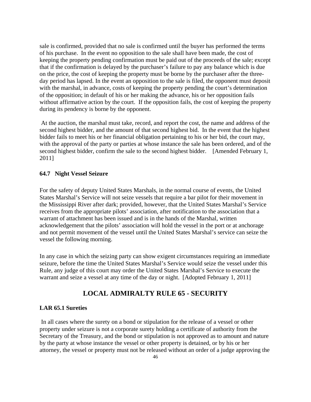sale is confirmed, provided that no sale is confirmed until the buyer has performed the terms of his purchase. In the event no opposition to the sale shall have been made, the cost of keeping the property pending confirmation must be paid out of the proceeds of the sale; except that if the confirmation is delayed by the purchaser's failure to pay any balance which is due on the price, the cost of keeping the property must be borne by the purchaser after the threeday period has lapsed. In the event an opposition to the sale is filed, the opponent must deposit with the marshal, in advance, costs of keeping the property pending the court's determination of the opposition; in default of his or her making the advance, his or her opposition fails without affirmative action by the court. If the opposition fails, the cost of keeping the property during its pendency is borne by the opponent.

 At the auction, the marshal must take, record, and report the cost, the name and address of the second highest bidder, and the amount of that second highest bid. In the event that the highest bidder fails to meet his or her financial obligation pertaining to his or her bid, the court may, with the approval of the party or parties at whose instance the sale has been ordered, and of the second highest bidder, confirm the sale to the second highest bidder. [Amended February 1, 2011]

### **64.7 Night Vessel Seizure**

For the safety of deputy United States Marshals, in the normal course of events, the United States Marshal's Service will not seize vessels that require a bar pilot for their movement in the Mississippi River after dark; provided, however, that the United States Marshal's Service receives from the appropriate pilots' association, after notification to the association that a warrant of attachment has been issued and is in the hands of the Marshal, written acknowledgement that the pilots' association will hold the vessel in the port or at anchorage and not permit movement of the vessel until the United States Marshal's service can seize the vessel the following morning.

In any case in which the seizing party can show exigent circumstances requiring an immediate seizure, before the time the United States Marshal's Service would seize the vessel under this Rule, any judge of this court may order the United States Marshal's Service to execute the warrant and seize a vessel at any time of the day or night. [Adopted February 1, 2011]

# **LOCAL ADMIRALTY RULE 65 - SECURITY**

#### **LAR 65.1 Sureties**

 In all cases where the surety on a bond or stipulation for the release of a vessel or other property under seizure is not a corporate surety holding a certificate of authority from the Secretary of the Treasury, and the bond or stipulation is not approved as to amount and nature by the party at whose instance the vessel or other property is detained, or by his or her attorney, the vessel or property must not be released without an order of a judge approving the